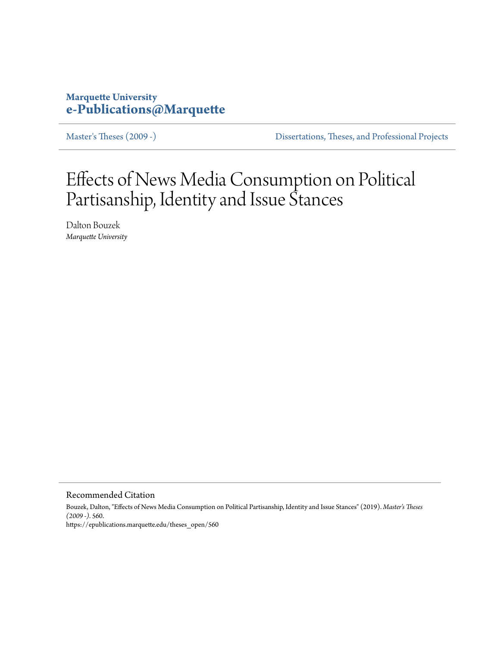# **Marquette University [e-Publications@Marquette](https://epublications.marquette.edu/)**

[Master's Theses \(2009 -\)](https://epublications.marquette.edu/theses_open) [Dissertations, Theses, and Professional Projects](https://epublications.marquette.edu/diss_theses)

# Effects of News Media Consumption on Political Partisanship, Identity and Issue Stances

Dalton Bouzek *Marquette University*

Recommended Citation

Bouzek, Dalton, "Effects of News Media Consumption on Political Partisanship, Identity and Issue Stances" (2019). *Master's Theses (2009 -)*. 560. https://epublications.marquette.edu/theses\_open/560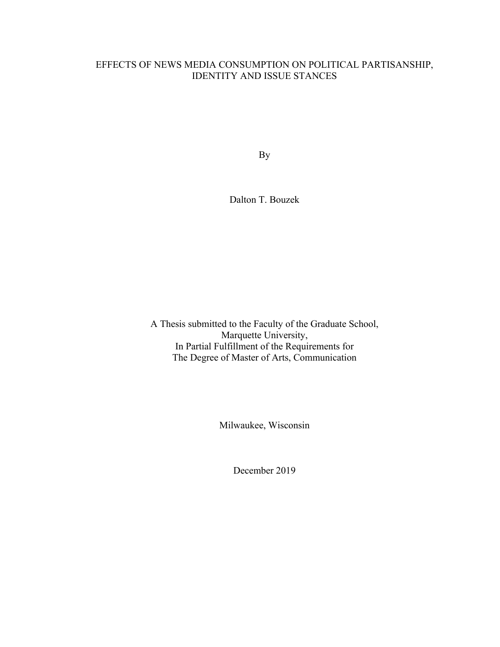# EFFECTS OF NEWS MEDIA CONSUMPTION ON POLITICAL PARTISANSHIP, IDENTITY AND ISSUE STANCES

By

Dalton T. Bouzek

A Thesis submitted to the Faculty of the Graduate School, Marquette University, In Partial Fulfillment of the Requirements for The Degree of Master of Arts, Communication

Milwaukee, Wisconsin

December 2019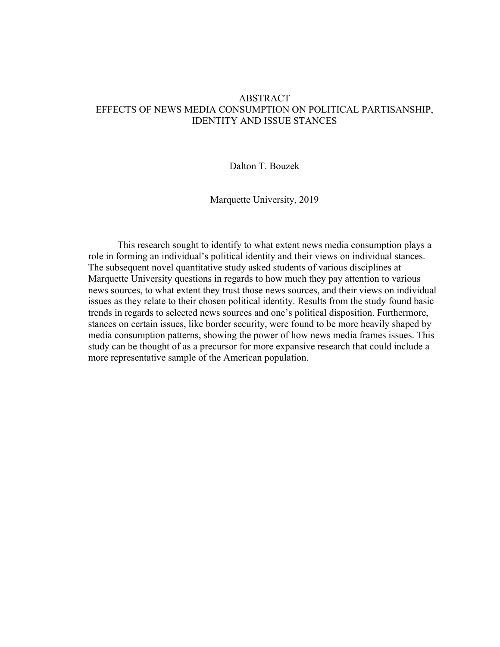# ABSTRACT EFFECTS OF NEWS MEDIA CONSUMPTION ON POLITICAL PARTISANSHIP, IDENTITY AND ISSUE STANCES

Dalton T. Bouzek

Marquette University, 2019

This research sought to identify to what extent news media consumption plays a role in forming an individual's political identity and their views on individual stances. The subsequent novel quantitative study asked students of various disciplines at Marquette University questions in regards to how much they pay attention to various news sources, to what extent they trust those news sources, and their views on individual issues as they relate to their chosen political identity. Results from the study found basic trends in regards to selected news sources and one's political disposition. Furthermore, stances on certain issues, like border security, were found to be more heavily shaped by media consumption patterns, showing the power of how news media frames issues. This study can be thought of as a precursor for more expansive research that could include a more representative sample of the American population.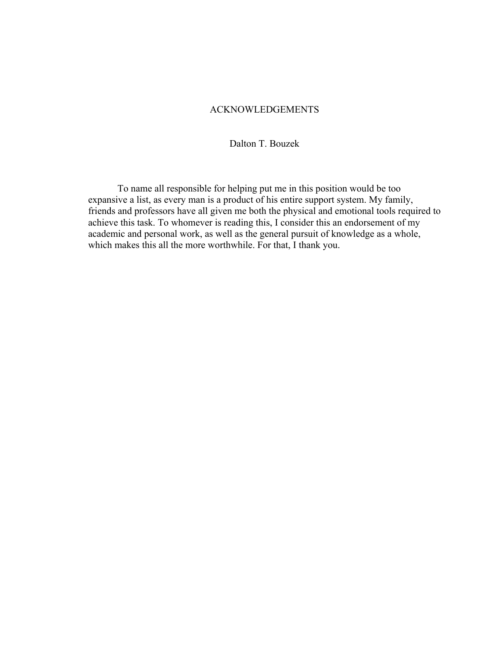# ACKNOWLEDGEMENTS

Dalton T. Bouzek

To name all responsible for helping put me in this position would be too expansive a list, as every man is a product of his entire support system. My family, friends and professors have all given me both the physical and emotional tools required to achieve this task. To whomever is reading this, I consider this an endorsement of my academic and personal work, as well as the general pursuit of knowledge as a whole, which makes this all the more worthwhile. For that, I thank you.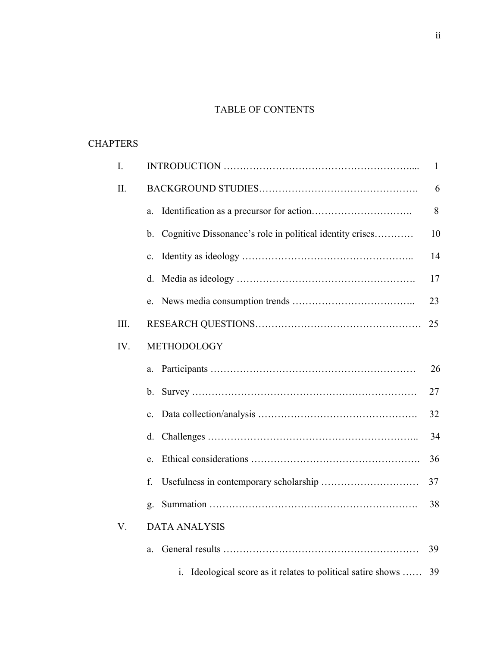# TABLE OF CONTENTS

# **CHAPTERS**

| I.   |                                                                               |    |  |  |
|------|-------------------------------------------------------------------------------|----|--|--|
| II.  |                                                                               |    |  |  |
|      | a.                                                                            | 8  |  |  |
|      | Cognitive Dissonance's role in political identity crises<br>$b_{\cdot}$       | 10 |  |  |
|      | $\mathbf{c}$ .                                                                | 14 |  |  |
|      | d.                                                                            | 17 |  |  |
|      |                                                                               | 23 |  |  |
| III. |                                                                               | 25 |  |  |
| IV.  | METHODOLOGY                                                                   |    |  |  |
|      | a.                                                                            | 26 |  |  |
|      | $b_{\cdot}$                                                                   | 27 |  |  |
|      | $\mathbf{c}$ .                                                                | 32 |  |  |
|      | d.                                                                            | 34 |  |  |
|      | e.                                                                            | 36 |  |  |
|      | f.                                                                            | 37 |  |  |
|      | g.                                                                            | 38 |  |  |
| V.   | <b>DATA ANALYSIS</b>                                                          |    |  |  |
|      | a.                                                                            | 39 |  |  |
|      | Ideological score as it relates to political satire shows<br>$\overline{1}$ . | 39 |  |  |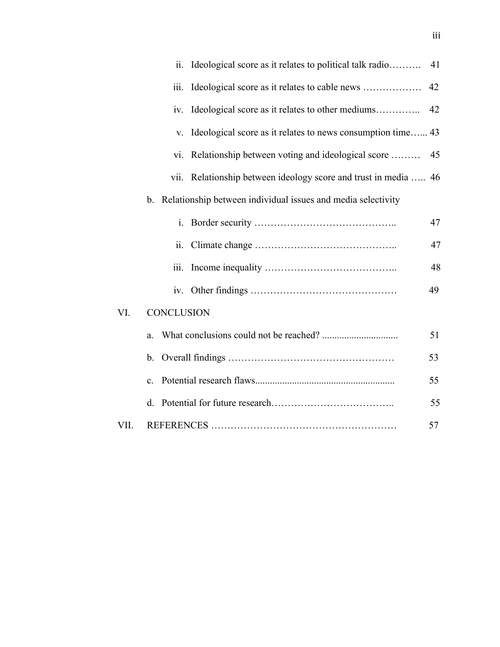|  |                                                                         | ii.   | Ideological score as it relates to political talk radio     | 41 |
|--|-------------------------------------------------------------------------|-------|-------------------------------------------------------------|----|
|  |                                                                         | iii.  |                                                             | 42 |
|  |                                                                         | 1V.   | Ideological score as it relates to other mediums            | 42 |
|  |                                                                         | V.    | Ideological score as it relates to news consumption time 43 |    |
|  |                                                                         | V1.   | Relationship between voting and ideological score           | 45 |
|  |                                                                         | V11.  | Relationship between ideology score and trust in media  46  |    |
|  | Relationship between individual issues and media selectivity<br>$b_{-}$ |       |                                                             |    |
|  |                                                                         | $i$ . |                                                             | 47 |
|  |                                                                         | 11.   |                                                             | 47 |
|  |                                                                         | iii.  |                                                             | 48 |
|  |                                                                         |       |                                                             | 49 |
|  | <b>CONCLUSION</b><br>VI.                                                |       |                                                             |    |
|  |                                                                         | a.    |                                                             | 51 |
|  | b.<br>$\mathbf{c}$ .                                                    |       |                                                             | 53 |
|  |                                                                         |       |                                                             | 55 |
|  |                                                                         | d.    |                                                             | 55 |
|  | VII.                                                                    |       |                                                             | 57 |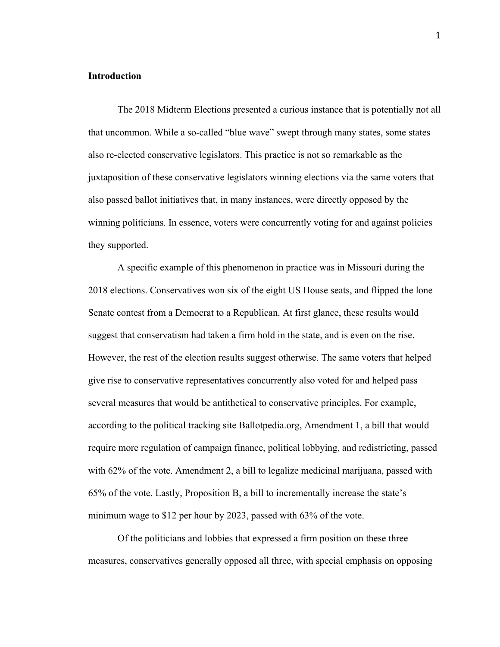# **Introduction**

The 2018 Midterm Elections presented a curious instance that is potentially not all that uncommon. While a so-called "blue wave" swept through many states, some states also re-elected conservative legislators. This practice is not so remarkable as the juxtaposition of these conservative legislators winning elections via the same voters that also passed ballot initiatives that, in many instances, were directly opposed by the winning politicians. In essence, voters were concurrently voting for and against policies they supported.

A specific example of this phenomenon in practice was in Missouri during the 2018 elections. Conservatives won six of the eight US House seats, and flipped the lone Senate contest from a Democrat to a Republican. At first glance, these results would suggest that conservatism had taken a firm hold in the state, and is even on the rise. However, the rest of the election results suggest otherwise. The same voters that helped give rise to conservative representatives concurrently also voted for and helped pass several measures that would be antithetical to conservative principles. For example, according to the political tracking site Ballotpedia.org, Amendment 1, a bill that would require more regulation of campaign finance, political lobbying, and redistricting, passed with 62% of the vote. Amendment 2, a bill to legalize medicinal marijuana, passed with 65% of the vote. Lastly, Proposition B, a bill to incrementally increase the state's minimum wage to \$12 per hour by 2023, passed with 63% of the vote.

Of the politicians and lobbies that expressed a firm position on these three measures, conservatives generally opposed all three, with special emphasis on opposing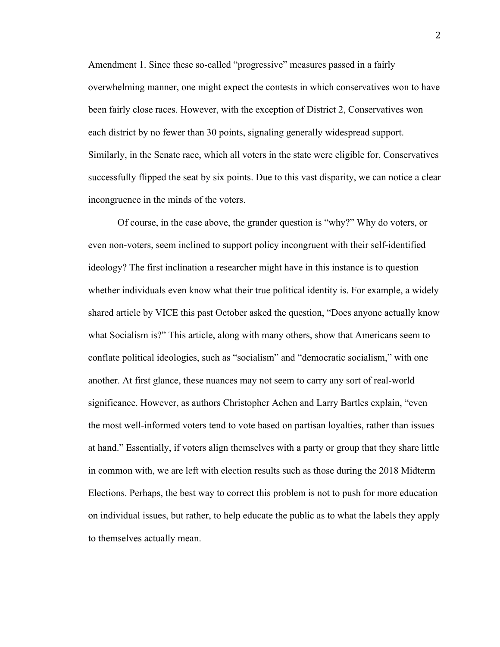Amendment 1. Since these so-called "progressive" measures passed in a fairly overwhelming manner, one might expect the contests in which conservatives won to have been fairly close races. However, with the exception of District 2, Conservatives won each district by no fewer than 30 points, signaling generally widespread support. Similarly, in the Senate race, which all voters in the state were eligible for, Conservatives successfully flipped the seat by six points. Due to this vast disparity, we can notice a clear incongruence in the minds of the voters.

Of course, in the case above, the grander question is "why?" Why do voters, or even non-voters, seem inclined to support policy incongruent with their self-identified ideology? The first inclination a researcher might have in this instance is to question whether individuals even know what their true political identity is. For example, a widely shared article by VICE this past October asked the question, "Does anyone actually know what Socialism is?" This article, along with many others, show that Americans seem to conflate political ideologies, such as "socialism" and "democratic socialism," with one another. At first glance, these nuances may not seem to carry any sort of real-world significance. However, as authors Christopher Achen and Larry Bartles explain, "even the most well-informed voters tend to vote based on partisan loyalties, rather than issues at hand." Essentially, if voters align themselves with a party or group that they share little in common with, we are left with election results such as those during the 2018 Midterm Elections. Perhaps, the best way to correct this problem is not to push for more education on individual issues, but rather, to help educate the public as to what the labels they apply to themselves actually mean.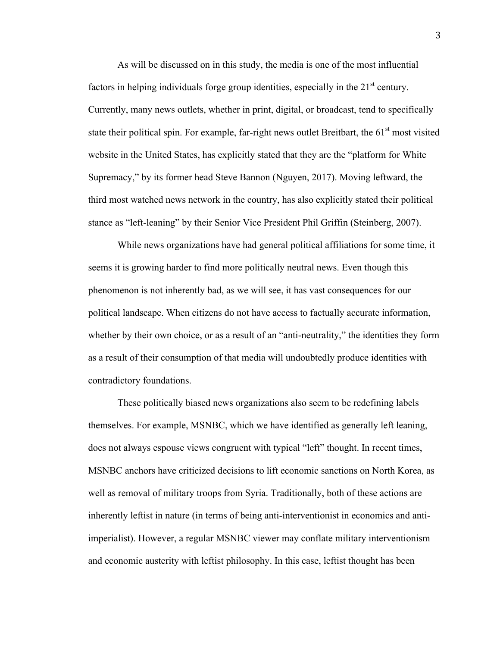As will be discussed on in this study, the media is one of the most influential factors in helping individuals forge group identities, especially in the  $21<sup>st</sup>$  century. Currently, many news outlets, whether in print, digital, or broadcast, tend to specifically state their political spin. For example, far-right news outlet Breitbart, the 61<sup>st</sup> most visited website in the United States, has explicitly stated that they are the "platform for White Supremacy," by its former head Steve Bannon (Nguyen, 2017). Moving leftward, the third most watched news network in the country, has also explicitly stated their political stance as "left-leaning" by their Senior Vice President Phil Griffin (Steinberg, 2007).

While news organizations have had general political affiliations for some time, it seems it is growing harder to find more politically neutral news. Even though this phenomenon is not inherently bad, as we will see, it has vast consequences for our political landscape. When citizens do not have access to factually accurate information, whether by their own choice, or as a result of an "anti-neutrality," the identities they form as a result of their consumption of that media will undoubtedly produce identities with contradictory foundations.

These politically biased news organizations also seem to be redefining labels themselves. For example, MSNBC, which we have identified as generally left leaning, does not always espouse views congruent with typical "left" thought. In recent times, MSNBC anchors have criticized decisions to lift economic sanctions on North Korea, as well as removal of military troops from Syria. Traditionally, both of these actions are inherently leftist in nature (in terms of being anti-interventionist in economics and antiimperialist). However, a regular MSNBC viewer may conflate military interventionism and economic austerity with leftist philosophy. In this case, leftist thought has been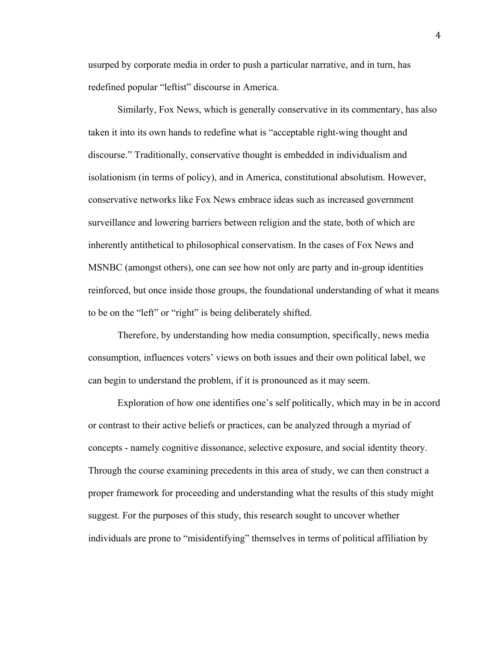usurped by corporate media in order to push a particular narrative, and in turn, has redefined popular "leftist" discourse in America.

Similarly, Fox News, which is generally conservative in its commentary, has also taken it into its own hands to redefine what is "acceptable right-wing thought and discourse." Traditionally, conservative thought is embedded in individualism and isolationism (in terms of policy), and in America, constitutional absolutism. However, conservative networks like Fox News embrace ideas such as increased government surveillance and lowering barriers between religion and the state, both of which are inherently antithetical to philosophical conservatism. In the cases of Fox News and MSNBC (amongst others), one can see how not only are party and in-group identities reinforced, but once inside those groups, the foundational understanding of what it means to be on the "left" or "right" is being deliberately shifted.

Therefore, by understanding how media consumption, specifically, news media consumption, influences voters' views on both issues and their own political label, we can begin to understand the problem, if it is pronounced as it may seem.

Exploration of how one identifies one's self politically, which may in be in accord or contrast to their active beliefs or practices, can be analyzed through a myriad of concepts - namely cognitive dissonance, selective exposure, and social identity theory. Through the course examining precedents in this area of study, we can then construct a proper framework for proceeding and understanding what the results of this study might suggest. For the purposes of this study, this research sought to uncover whether individuals are prone to "misidentifying" themselves in terms of political affiliation by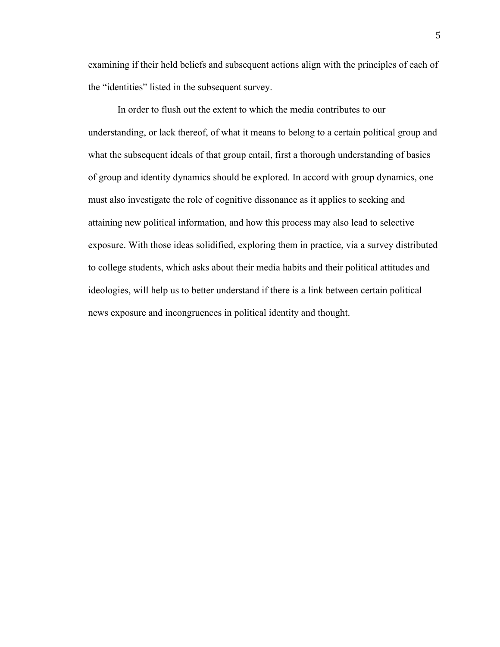examining if their held beliefs and subsequent actions align with the principles of each of the "identities" listed in the subsequent survey.

In order to flush out the extent to which the media contributes to our understanding, or lack thereof, of what it means to belong to a certain political group and what the subsequent ideals of that group entail, first a thorough understanding of basics of group and identity dynamics should be explored. In accord with group dynamics, one must also investigate the role of cognitive dissonance as it applies to seeking and attaining new political information, and how this process may also lead to selective exposure. With those ideas solidified, exploring them in practice, via a survey distributed to college students, which asks about their media habits and their political attitudes and ideologies, will help us to better understand if there is a link between certain political news exposure and incongruences in political identity and thought.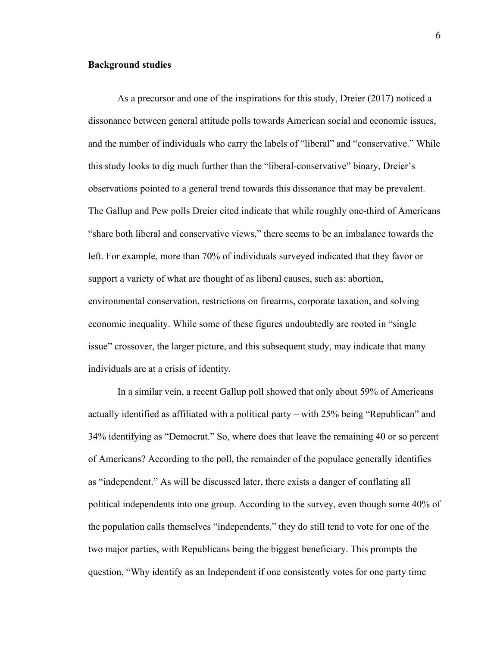# **Background studies**

As a precursor and one of the inspirations for this study, Dreier (2017) noticed a dissonance between general attitude polls towards American social and economic issues, and the number of individuals who carry the labels of "liberal" and "conservative." While this study looks to dig much further than the "liberal-conservative" binary, Dreier's observations pointed to a general trend towards this dissonance that may be prevalent. The Gallup and Pew polls Dreier cited indicate that while roughly one-third of Americans "share both liberal and conservative views," there seems to be an imbalance towards the left. For example, more than 70% of individuals surveyed indicated that they favor or support a variety of what are thought of as liberal causes, such as: abortion, environmental conservation, restrictions on firearms, corporate taxation, and solving economic inequality. While some of these figures undoubtedly are rooted in "single issue" crossover, the larger picture, and this subsequent study, may indicate that many individuals are at a crisis of identity.

In a similar vein, a recent Gallup poll showed that only about 59% of Americans actually identified as affiliated with a political party – with 25% being "Republican" and 34% identifying as "Democrat." So, where does that leave the remaining 40 or so percent of Americans? According to the poll, the remainder of the populace generally identifies as "independent." As will be discussed later, there exists a danger of conflating all political independents into one group. According to the survey, even though some 40% of the population calls themselves "independents," they do still tend to vote for one of the two major parties, with Republicans being the biggest beneficiary. This prompts the question, "Why identify as an Independent if one consistently votes for one party time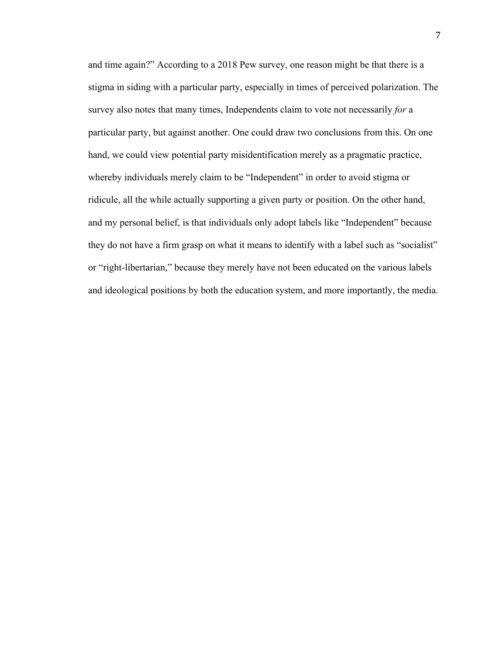and time again?" According to a 2018 Pew survey, one reason might be that there is a stigma in siding with a particular party, especially in times of perceived polarization. The survey also notes that many times, Independents claim to vote not necessarily *for* a particular party, but against another. One could draw two conclusions from this. On one hand, we could view potential party misidentification merely as a pragmatic practice, whereby individuals merely claim to be "Independent" in order to avoid stigma or ridicule, all the while actually supporting a given party or position. On the other hand, and my personal belief, is that individuals only adopt labels like "Independent" because they do not have a firm grasp on what it means to identify with a label such as "socialist" or "right-libertarian," because they merely have not been educated on the various labels and ideological positions by both the education system, and more importantly, the media.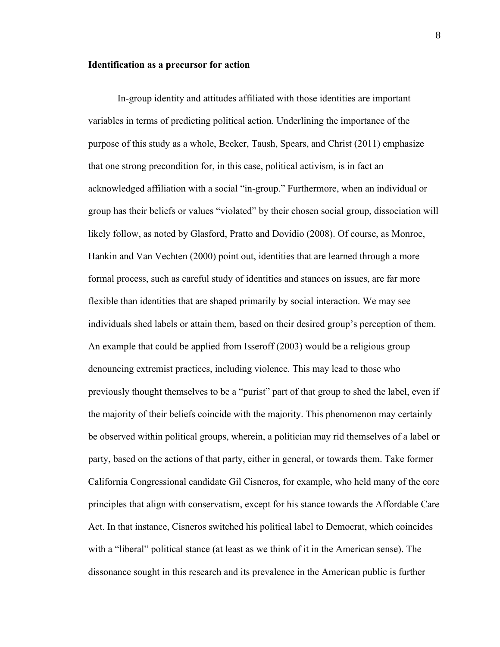## **Identification as a precursor for action**

In-group identity and attitudes affiliated with those identities are important variables in terms of predicting political action. Underlining the importance of the purpose of this study as a whole, Becker, Taush, Spears, and Christ (2011) emphasize that one strong precondition for, in this case, political activism, is in fact an acknowledged affiliation with a social "in-group." Furthermore, when an individual or group has their beliefs or values "violated" by their chosen social group, dissociation will likely follow, as noted by Glasford, Pratto and Dovidio (2008). Of course, as Monroe, Hankin and Van Vechten (2000) point out, identities that are learned through a more formal process, such as careful study of identities and stances on issues, are far more flexible than identities that are shaped primarily by social interaction. We may see individuals shed labels or attain them, based on their desired group's perception of them. An example that could be applied from Isseroff (2003) would be a religious group denouncing extremist practices, including violence. This may lead to those who previously thought themselves to be a "purist" part of that group to shed the label, even if the majority of their beliefs coincide with the majority. This phenomenon may certainly be observed within political groups, wherein, a politician may rid themselves of a label or party, based on the actions of that party, either in general, or towards them. Take former California Congressional candidate Gil Cisneros, for example, who held many of the core principles that align with conservatism, except for his stance towards the Affordable Care Act. In that instance, Cisneros switched his political label to Democrat, which coincides with a "liberal" political stance (at least as we think of it in the American sense). The dissonance sought in this research and its prevalence in the American public is further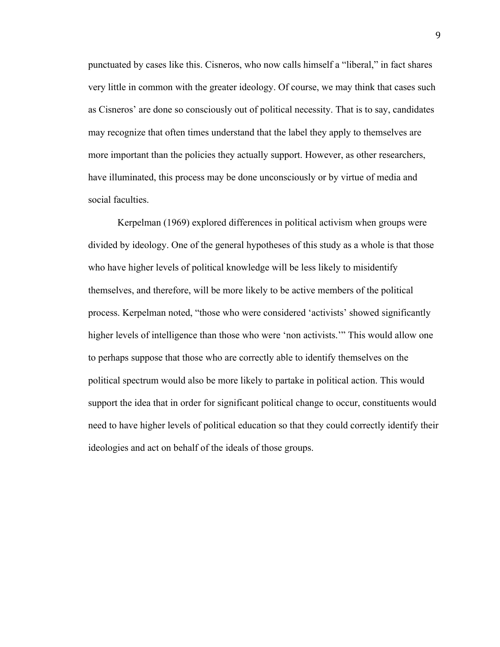punctuated by cases like this. Cisneros, who now calls himself a "liberal," in fact shares very little in common with the greater ideology. Of course, we may think that cases such as Cisneros' are done so consciously out of political necessity. That is to say, candidates may recognize that often times understand that the label they apply to themselves are more important than the policies they actually support. However, as other researchers, have illuminated, this process may be done unconsciously or by virtue of media and social faculties.

Kerpelman (1969) explored differences in political activism when groups were divided by ideology. One of the general hypotheses of this study as a whole is that those who have higher levels of political knowledge will be less likely to misidentify themselves, and therefore, will be more likely to be active members of the political process. Kerpelman noted, "those who were considered 'activists' showed significantly higher levels of intelligence than those who were 'non activists.'" This would allow one to perhaps suppose that those who are correctly able to identify themselves on the political spectrum would also be more likely to partake in political action. This would support the idea that in order for significant political change to occur, constituents would need to have higher levels of political education so that they could correctly identify their ideologies and act on behalf of the ideals of those groups.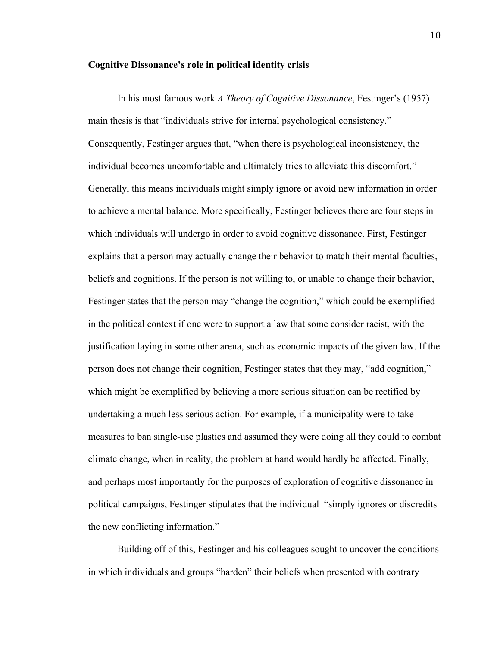# **Cognitive Dissonance's role in political identity crisis**

In his most famous work *A Theory of Cognitive Dissonance*, Festinger's (1957) main thesis is that "individuals strive for internal psychological consistency." Consequently, Festinger argues that, "when there is psychological inconsistency, the individual becomes uncomfortable and ultimately tries to alleviate this discomfort." Generally, this means individuals might simply ignore or avoid new information in order to achieve a mental balance. More specifically, Festinger believes there are four steps in which individuals will undergo in order to avoid cognitive dissonance. First, Festinger explains that a person may actually change their behavior to match their mental faculties, beliefs and cognitions. If the person is not willing to, or unable to change their behavior, Festinger states that the person may "change the cognition," which could be exemplified in the political context if one were to support a law that some consider racist, with the justification laying in some other arena, such as economic impacts of the given law. If the person does not change their cognition, Festinger states that they may, "add cognition," which might be exemplified by believing a more serious situation can be rectified by undertaking a much less serious action. For example, if a municipality were to take measures to ban single-use plastics and assumed they were doing all they could to combat climate change, when in reality, the problem at hand would hardly be affected. Finally, and perhaps most importantly for the purposes of exploration of cognitive dissonance in political campaigns, Festinger stipulates that the individual "simply ignores or discredits the new conflicting information."

Building off of this, Festinger and his colleagues sought to uncover the conditions in which individuals and groups "harden" their beliefs when presented with contrary

10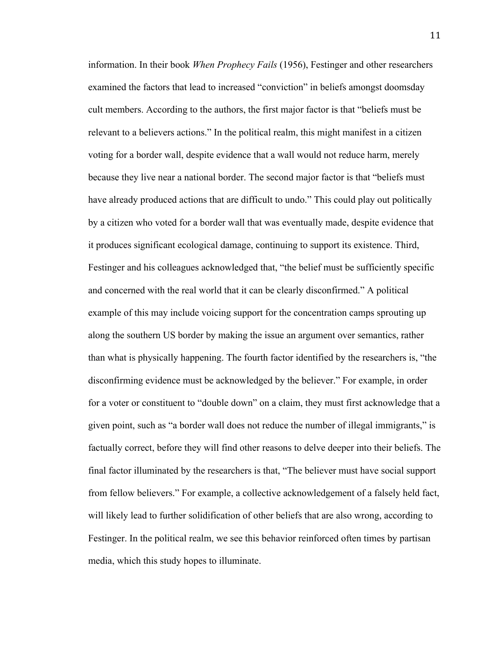information. In their book *When Prophecy Fails* (1956), Festinger and other researchers examined the factors that lead to increased "conviction" in beliefs amongst doomsday cult members. According to the authors, the first major factor is that "beliefs must be relevant to a believers actions." In the political realm, this might manifest in a citizen voting for a border wall, despite evidence that a wall would not reduce harm, merely because they live near a national border. The second major factor is that "beliefs must have already produced actions that are difficult to undo." This could play out politically by a citizen who voted for a border wall that was eventually made, despite evidence that it produces significant ecological damage, continuing to support its existence. Third, Festinger and his colleagues acknowledged that, "the belief must be sufficiently specific and concerned with the real world that it can be clearly disconfirmed." A political example of this may include voicing support for the concentration camps sprouting up along the southern US border by making the issue an argument over semantics, rather than what is physically happening. The fourth factor identified by the researchers is, "the disconfirming evidence must be acknowledged by the believer." For example, in order for a voter or constituent to "double down" on a claim, they must first acknowledge that a given point, such as "a border wall does not reduce the number of illegal immigrants," is factually correct, before they will find other reasons to delve deeper into their beliefs. The final factor illuminated by the researchers is that, "The believer must have social support from fellow believers." For example, a collective acknowledgement of a falsely held fact, will likely lead to further solidification of other beliefs that are also wrong, according to Festinger. In the political realm, we see this behavior reinforced often times by partisan media, which this study hopes to illuminate.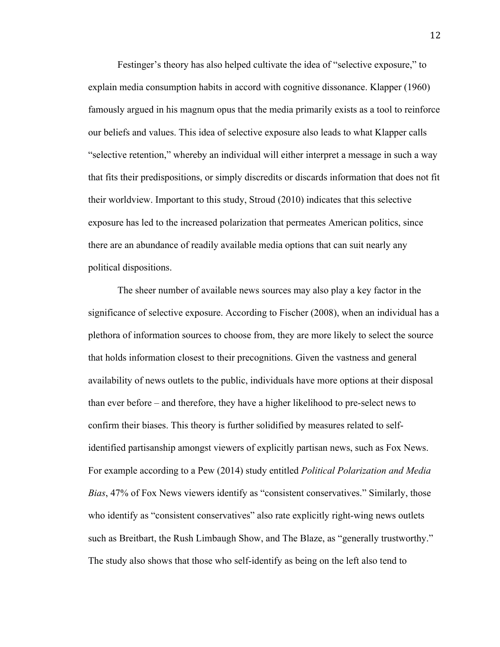Festinger's theory has also helped cultivate the idea of "selective exposure," to explain media consumption habits in accord with cognitive dissonance. Klapper (1960) famously argued in his magnum opus that the media primarily exists as a tool to reinforce our beliefs and values. This idea of selective exposure also leads to what Klapper calls "selective retention," whereby an individual will either interpret a message in such a way that fits their predispositions, or simply discredits or discards information that does not fit their worldview. Important to this study, Stroud (2010) indicates that this selective exposure has led to the increased polarization that permeates American politics, since there are an abundance of readily available media options that can suit nearly any political dispositions.

The sheer number of available news sources may also play a key factor in the significance of selective exposure. According to Fischer (2008), when an individual has a plethora of information sources to choose from, they are more likely to select the source that holds information closest to their precognitions. Given the vastness and general availability of news outlets to the public, individuals have more options at their disposal than ever before – and therefore, they have a higher likelihood to pre-select news to confirm their biases. This theory is further solidified by measures related to selfidentified partisanship amongst viewers of explicitly partisan news, such as Fox News. For example according to a Pew (2014) study entitled *Political Polarization and Media Bias*, 47% of Fox News viewers identify as "consistent conservatives." Similarly, those who identify as "consistent conservatives" also rate explicitly right-wing news outlets such as Breitbart, the Rush Limbaugh Show, and The Blaze, as "generally trustworthy." The study also shows that those who self-identify as being on the left also tend to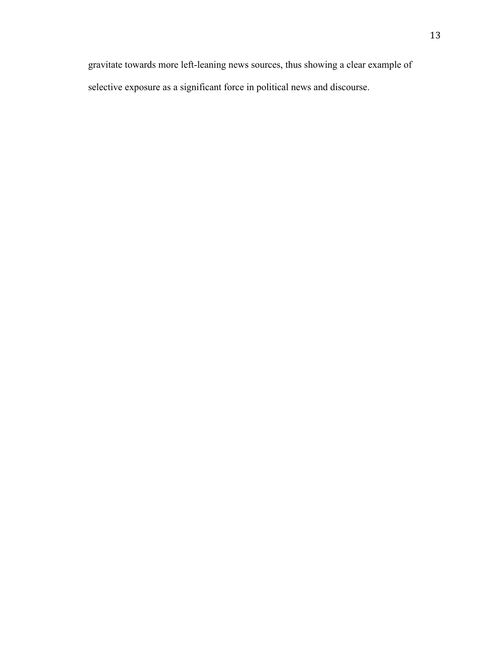gravitate towards more left-leaning news sources, thus showing a clear example of selective exposure as a significant force in political news and discourse.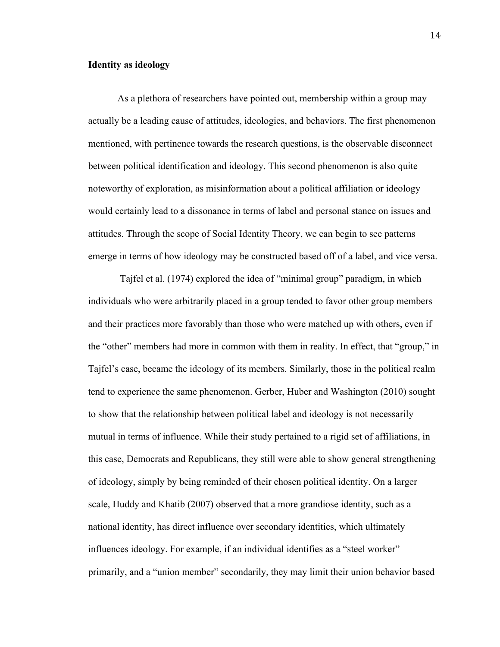# **Identity as ideology**

As a plethora of researchers have pointed out, membership within a group may actually be a leading cause of attitudes, ideologies, and behaviors. The first phenomenon mentioned, with pertinence towards the research questions, is the observable disconnect between political identification and ideology. This second phenomenon is also quite noteworthy of exploration, as misinformation about a political affiliation or ideology would certainly lead to a dissonance in terms of label and personal stance on issues and attitudes. Through the scope of Social Identity Theory, we can begin to see patterns emerge in terms of how ideology may be constructed based off of a label, and vice versa.

Tajfel et al. (1974) explored the idea of "minimal group" paradigm, in which individuals who were arbitrarily placed in a group tended to favor other group members and their practices more favorably than those who were matched up with others, even if the "other" members had more in common with them in reality. In effect, that "group," in Tajfel's case, became the ideology of its members. Similarly, those in the political realm tend to experience the same phenomenon. Gerber, Huber and Washington (2010) sought to show that the relationship between political label and ideology is not necessarily mutual in terms of influence. While their study pertained to a rigid set of affiliations, in this case, Democrats and Republicans, they still were able to show general strengthening of ideology, simply by being reminded of their chosen political identity. On a larger scale, Huddy and Khatib (2007) observed that a more grandiose identity, such as a national identity, has direct influence over secondary identities, which ultimately influences ideology. For example, if an individual identifies as a "steel worker" primarily, and a "union member" secondarily, they may limit their union behavior based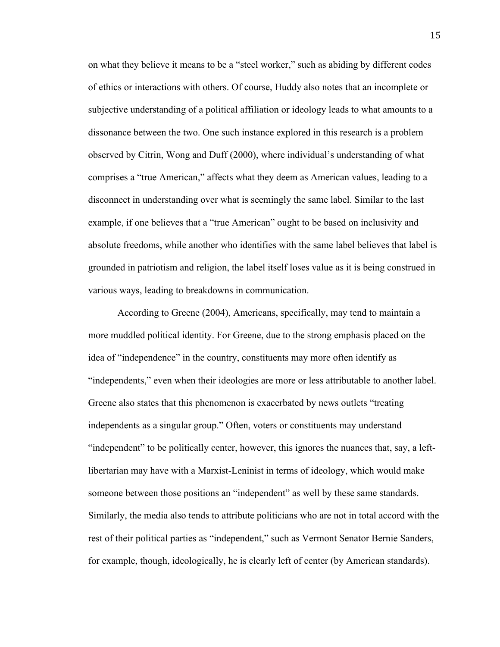on what they believe it means to be a "steel worker," such as abiding by different codes of ethics or interactions with others. Of course, Huddy also notes that an incomplete or subjective understanding of a political affiliation or ideology leads to what amounts to a dissonance between the two. One such instance explored in this research is a problem observed by Citrin, Wong and Duff (2000), where individual's understanding of what comprises a "true American," affects what they deem as American values, leading to a disconnect in understanding over what is seemingly the same label. Similar to the last example, if one believes that a "true American" ought to be based on inclusivity and absolute freedoms, while another who identifies with the same label believes that label is grounded in patriotism and religion, the label itself loses value as it is being construed in various ways, leading to breakdowns in communication.

According to Greene (2004), Americans, specifically, may tend to maintain a more muddled political identity. For Greene, due to the strong emphasis placed on the idea of "independence" in the country, constituents may more often identify as "independents," even when their ideologies are more or less attributable to another label. Greene also states that this phenomenon is exacerbated by news outlets "treating independents as a singular group." Often, voters or constituents may understand "independent" to be politically center, however, this ignores the nuances that, say, a leftlibertarian may have with a Marxist-Leninist in terms of ideology, which would make someone between those positions an "independent" as well by these same standards. Similarly, the media also tends to attribute politicians who are not in total accord with the rest of their political parties as "independent," such as Vermont Senator Bernie Sanders, for example, though, ideologically, he is clearly left of center (by American standards).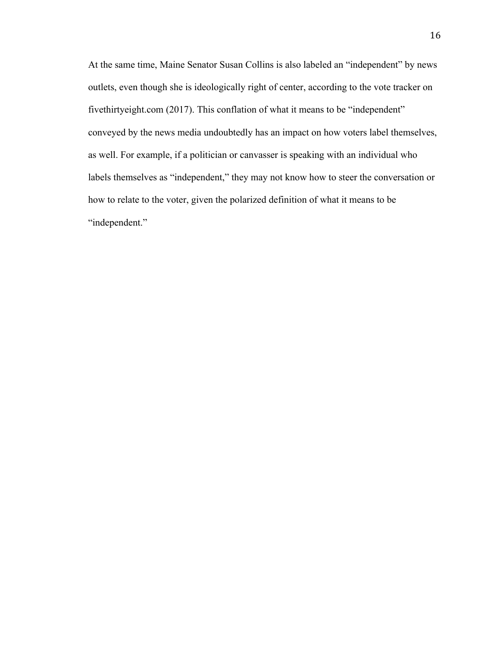At the same time, Maine Senator Susan Collins is also labeled an "independent" by news outlets, even though she is ideologically right of center, according to the vote tracker on fivethirtyeight.com (2017). This conflation of what it means to be "independent" conveyed by the news media undoubtedly has an impact on how voters label themselves, as well. For example, if a politician or canvasser is speaking with an individual who labels themselves as "independent," they may not know how to steer the conversation or how to relate to the voter, given the polarized definition of what it means to be "independent."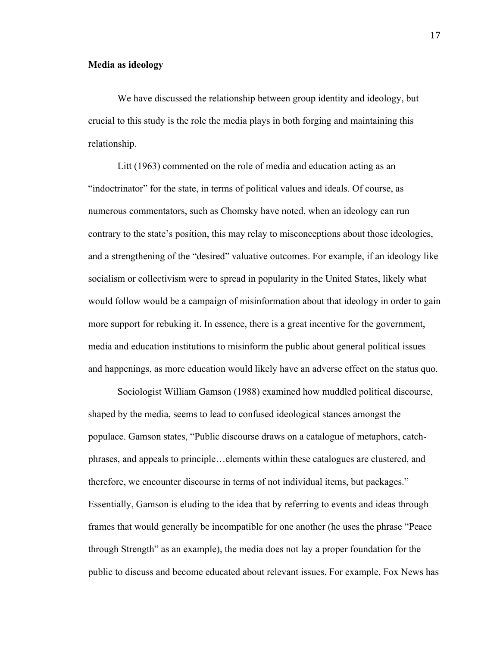# **Media as ideology**

We have discussed the relationship between group identity and ideology, but crucial to this study is the role the media plays in both forging and maintaining this relationship.

Litt (1963) commented on the role of media and education acting as an "indoctrinator" for the state, in terms of political values and ideals. Of course, as numerous commentators, such as Chomsky have noted, when an ideology can run contrary to the state's position, this may relay to misconceptions about those ideologies, and a strengthening of the "desired" valuative outcomes. For example, if an ideology like socialism or collectivism were to spread in popularity in the United States, likely what would follow would be a campaign of misinformation about that ideology in order to gain more support for rebuking it. In essence, there is a great incentive for the government, media and education institutions to misinform the public about general political issues and happenings, as more education would likely have an adverse effect on the status quo.

Sociologist William Gamson (1988) examined how muddled political discourse, shaped by the media, seems to lead to confused ideological stances amongst the populace. Gamson states, "Public discourse draws on a catalogue of metaphors, catchphrases, and appeals to principle…elements within these catalogues are clustered, and therefore, we encounter discourse in terms of not individual items, but packages." Essentially, Gamson is eluding to the idea that by referring to events and ideas through frames that would generally be incompatible for one another (he uses the phrase "Peace through Strength" as an example), the media does not lay a proper foundation for the public to discuss and become educated about relevant issues. For example, Fox News has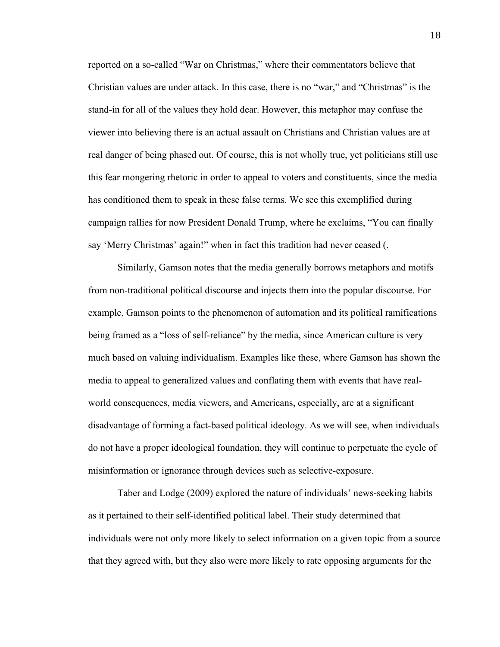reported on a so-called "War on Christmas," where their commentators believe that Christian values are under attack. In this case, there is no "war," and "Christmas" is the stand-in for all of the values they hold dear. However, this metaphor may confuse the viewer into believing there is an actual assault on Christians and Christian values are at real danger of being phased out. Of course, this is not wholly true, yet politicians still use this fear mongering rhetoric in order to appeal to voters and constituents, since the media has conditioned them to speak in these false terms. We see this exemplified during campaign rallies for now President Donald Trump, where he exclaims, "You can finally say 'Merry Christmas' again!" when in fact this tradition had never ceased (.

Similarly, Gamson notes that the media generally borrows metaphors and motifs from non-traditional political discourse and injects them into the popular discourse. For example, Gamson points to the phenomenon of automation and its political ramifications being framed as a "loss of self-reliance" by the media, since American culture is very much based on valuing individualism. Examples like these, where Gamson has shown the media to appeal to generalized values and conflating them with events that have realworld consequences, media viewers, and Americans, especially, are at a significant disadvantage of forming a fact-based political ideology. As we will see, when individuals do not have a proper ideological foundation, they will continue to perpetuate the cycle of misinformation or ignorance through devices such as selective-exposure.

Taber and Lodge (2009) explored the nature of individuals' news-seeking habits as it pertained to their self-identified political label. Their study determined that individuals were not only more likely to select information on a given topic from a source that they agreed with, but they also were more likely to rate opposing arguments for the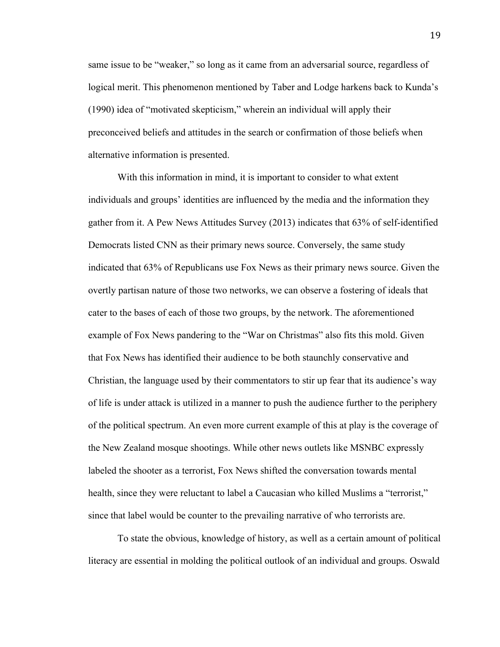same issue to be "weaker," so long as it came from an adversarial source, regardless of logical merit. This phenomenon mentioned by Taber and Lodge harkens back to Kunda's (1990) idea of "motivated skepticism," wherein an individual will apply their preconceived beliefs and attitudes in the search or confirmation of those beliefs when alternative information is presented.

With this information in mind, it is important to consider to what extent individuals and groups' identities are influenced by the media and the information they gather from it. A Pew News Attitudes Survey (2013) indicates that 63% of self-identified Democrats listed CNN as their primary news source. Conversely, the same study indicated that 63% of Republicans use Fox News as their primary news source. Given the overtly partisan nature of those two networks, we can observe a fostering of ideals that cater to the bases of each of those two groups, by the network. The aforementioned example of Fox News pandering to the "War on Christmas" also fits this mold. Given that Fox News has identified their audience to be both staunchly conservative and Christian, the language used by their commentators to stir up fear that its audience's way of life is under attack is utilized in a manner to push the audience further to the periphery of the political spectrum. An even more current example of this at play is the coverage of the New Zealand mosque shootings. While other news outlets like MSNBC expressly labeled the shooter as a terrorist, Fox News shifted the conversation towards mental health, since they were reluctant to label a Caucasian who killed Muslims a "terrorist," since that label would be counter to the prevailing narrative of who terrorists are.

To state the obvious, knowledge of history, as well as a certain amount of political literacy are essential in molding the political outlook of an individual and groups. Oswald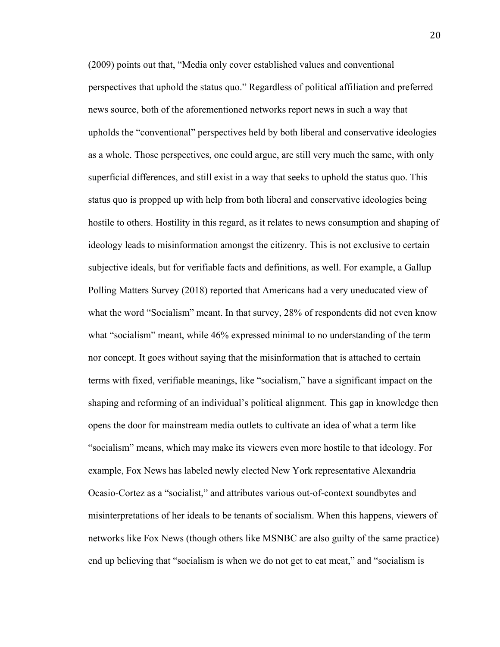(2009) points out that, "Media only cover established values and conventional perspectives that uphold the status quo." Regardless of political affiliation and preferred news source, both of the aforementioned networks report news in such a way that upholds the "conventional" perspectives held by both liberal and conservative ideologies as a whole. Those perspectives, one could argue, are still very much the same, with only superficial differences, and still exist in a way that seeks to uphold the status quo. This status quo is propped up with help from both liberal and conservative ideologies being hostile to others. Hostility in this regard, as it relates to news consumption and shaping of ideology leads to misinformation amongst the citizenry. This is not exclusive to certain subjective ideals, but for verifiable facts and definitions, as well. For example, a Gallup Polling Matters Survey (2018) reported that Americans had a very uneducated view of what the word "Socialism" meant. In that survey, 28% of respondents did not even know what "socialism" meant, while 46% expressed minimal to no understanding of the term nor concept. It goes without saying that the misinformation that is attached to certain terms with fixed, verifiable meanings, like "socialism," have a significant impact on the shaping and reforming of an individual's political alignment. This gap in knowledge then opens the door for mainstream media outlets to cultivate an idea of what a term like "socialism" means, which may make its viewers even more hostile to that ideology. For example, Fox News has labeled newly elected New York representative Alexandria Ocasio-Cortez as a "socialist," and attributes various out-of-context soundbytes and misinterpretations of her ideals to be tenants of socialism. When this happens, viewers of networks like Fox News (though others like MSNBC are also guilty of the same practice) end up believing that "socialism is when we do not get to eat meat," and "socialism is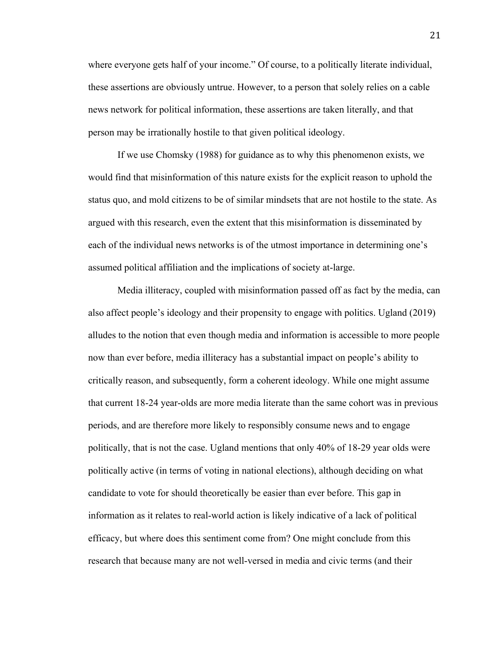where everyone gets half of your income." Of course, to a politically literate individual, these assertions are obviously untrue. However, to a person that solely relies on a cable news network for political information, these assertions are taken literally, and that person may be irrationally hostile to that given political ideology.

If we use Chomsky (1988) for guidance as to why this phenomenon exists, we would find that misinformation of this nature exists for the explicit reason to uphold the status quo, and mold citizens to be of similar mindsets that are not hostile to the state. As argued with this research, even the extent that this misinformation is disseminated by each of the individual news networks is of the utmost importance in determining one's assumed political affiliation and the implications of society at-large.

Media illiteracy, coupled with misinformation passed off as fact by the media, can also affect people's ideology and their propensity to engage with politics. Ugland (2019) alludes to the notion that even though media and information is accessible to more people now than ever before, media illiteracy has a substantial impact on people's ability to critically reason, and subsequently, form a coherent ideology. While one might assume that current 18-24 year-olds are more media literate than the same cohort was in previous periods, and are therefore more likely to responsibly consume news and to engage politically, that is not the case. Ugland mentions that only 40% of 18-29 year olds were politically active (in terms of voting in national elections), although deciding on what candidate to vote for should theoretically be easier than ever before. This gap in information as it relates to real-world action is likely indicative of a lack of political efficacy, but where does this sentiment come from? One might conclude from this research that because many are not well-versed in media and civic terms (and their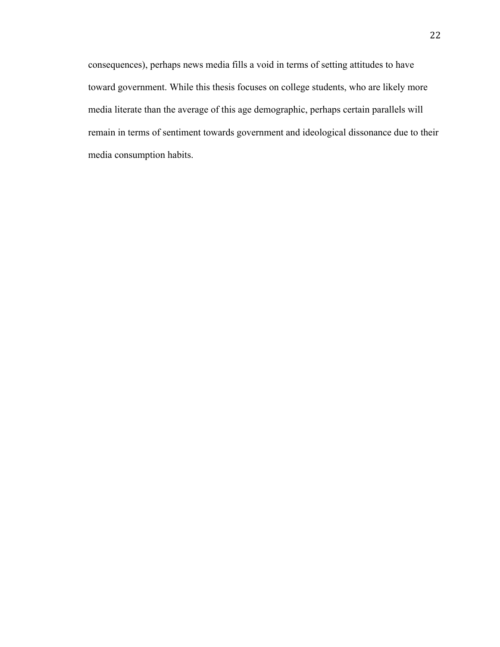consequences), perhaps news media fills a void in terms of setting attitudes to have toward government. While this thesis focuses on college students, who are likely more media literate than the average of this age demographic, perhaps certain parallels will remain in terms of sentiment towards government and ideological dissonance due to their media consumption habits.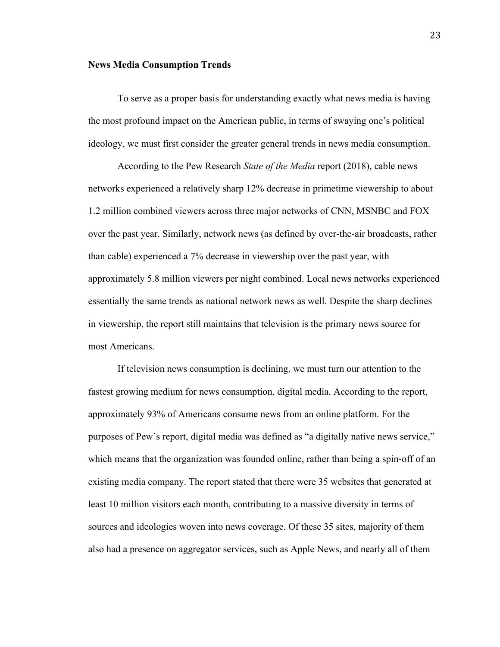#### **News Media Consumption Trends**

To serve as a proper basis for understanding exactly what news media is having the most profound impact on the American public, in terms of swaying one's political ideology, we must first consider the greater general trends in news media consumption.

According to the Pew Research *State of the Media* report (2018), cable news networks experienced a relatively sharp 12% decrease in primetime viewership to about 1.2 million combined viewers across three major networks of CNN, MSNBC and FOX over the past year. Similarly, network news (as defined by over-the-air broadcasts, rather than cable) experienced a 7% decrease in viewership over the past year, with approximately 5.8 million viewers per night combined. Local news networks experienced essentially the same trends as national network news as well. Despite the sharp declines in viewership, the report still maintains that television is the primary news source for most Americans.

If television news consumption is declining, we must turn our attention to the fastest growing medium for news consumption, digital media. According to the report, approximately 93% of Americans consume news from an online platform. For the purposes of Pew's report, digital media was defined as "a digitally native news service," which means that the organization was founded online, rather than being a spin-off of an existing media company. The report stated that there were 35 websites that generated at least 10 million visitors each month, contributing to a massive diversity in terms of sources and ideologies woven into news coverage. Of these 35 sites, majority of them also had a presence on aggregator services, such as Apple News, and nearly all of them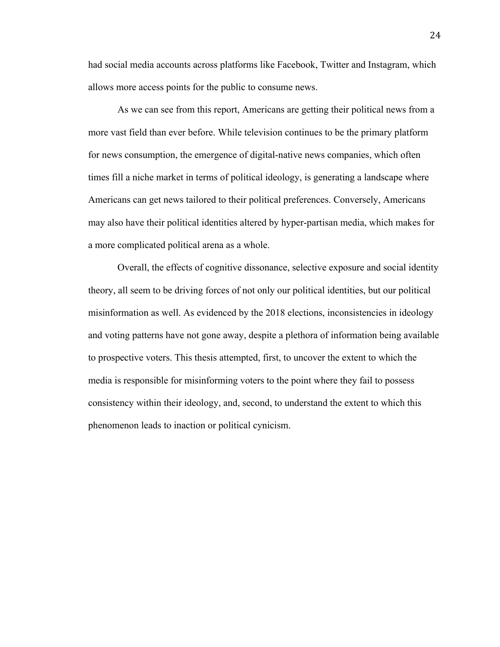had social media accounts across platforms like Facebook, Twitter and Instagram, which allows more access points for the public to consume news.

As we can see from this report, Americans are getting their political news from a more vast field than ever before. While television continues to be the primary platform for news consumption, the emergence of digital-native news companies, which often times fill a niche market in terms of political ideology, is generating a landscape where Americans can get news tailored to their political preferences. Conversely, Americans may also have their political identities altered by hyper-partisan media, which makes for a more complicated political arena as a whole.

Overall, the effects of cognitive dissonance, selective exposure and social identity theory, all seem to be driving forces of not only our political identities, but our political misinformation as well. As evidenced by the 2018 elections, inconsistencies in ideology and voting patterns have not gone away, despite a plethora of information being available to prospective voters. This thesis attempted, first, to uncover the extent to which the media is responsible for misinforming voters to the point where they fail to possess consistency within their ideology, and, second, to understand the extent to which this phenomenon leads to inaction or political cynicism.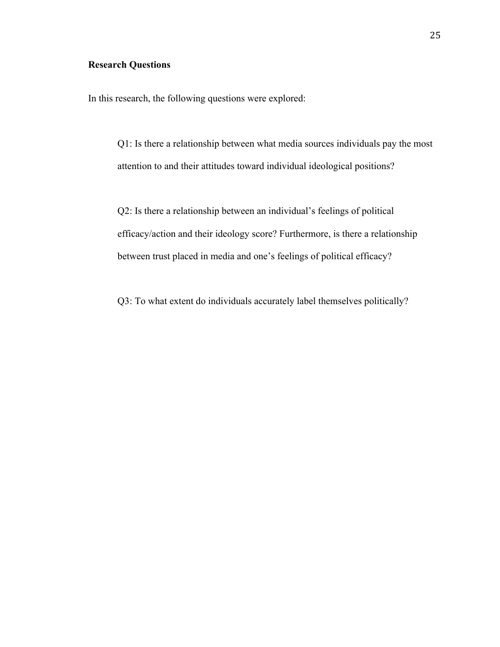# **Research Questions**

In this research, the following questions were explored:

Q1: Is there a relationship between what media sources individuals pay the most attention to and their attitudes toward individual ideological positions?

Q2: Is there a relationship between an individual's feelings of political efficacy/action and their ideology score? Furthermore, is there a relationship between trust placed in media and one's feelings of political efficacy?

Q3: To what extent do individuals accurately label themselves politically?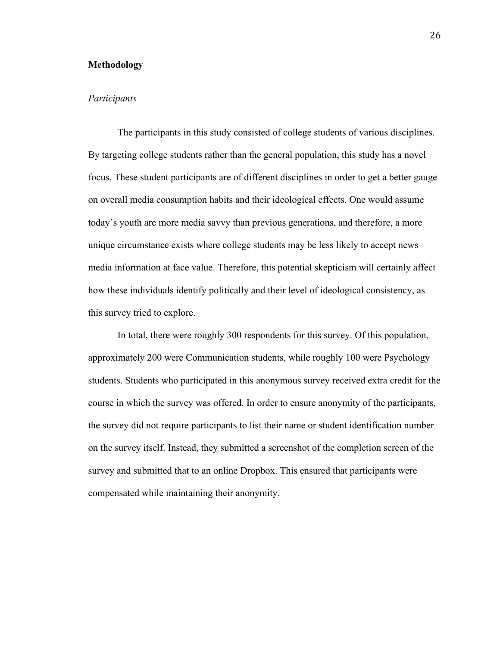# **Methodology**

# *Participants*

The participants in this study consisted of college students of various disciplines. By targeting college students rather than the general population, this study has a novel focus. These student participants are of different disciplines in order to get a better gauge on overall media consumption habits and their ideological effects. One would assume today's youth are more media savvy than previous generations, and therefore, a more unique circumstance exists where college students may be less likely to accept news media information at face value. Therefore, this potential skepticism will certainly affect how these individuals identify politically and their level of ideological consistency, as this survey tried to explore.

In total, there were roughly 300 respondents for this survey. Of this population, approximately 200 were Communication students, while roughly 100 were Psychology students. Students who participated in this anonymous survey received extra credit for the course in which the survey was offered. In order to ensure anonymity of the participants, the survey did not require participants to list their name or student identification number on the survey itself. Instead, they submitted a screenshot of the completion screen of the survey and submitted that to an online Dropbox. This ensured that participants were compensated while maintaining their anonymity.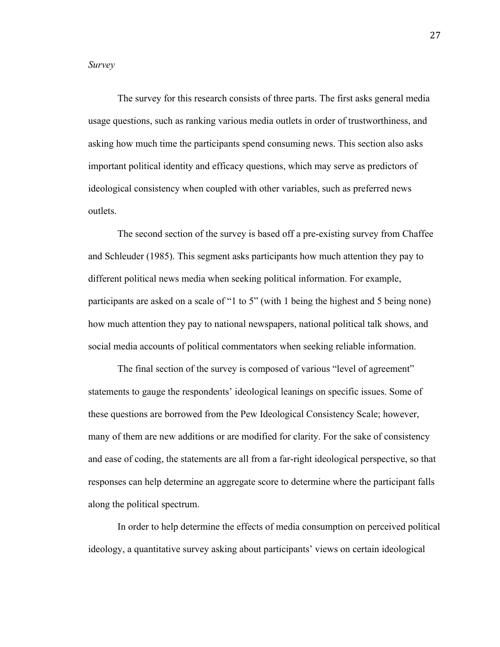*Survey*

The survey for this research consists of three parts. The first asks general media usage questions, such as ranking various media outlets in order of trustworthiness, and asking how much time the participants spend consuming news. This section also asks important political identity and efficacy questions, which may serve as predictors of ideological consistency when coupled with other variables, such as preferred news outlets.

The second section of the survey is based off a pre-existing survey from Chaffee and Schleuder (1985). This segment asks participants how much attention they pay to different political news media when seeking political information. For example, participants are asked on a scale of "1 to 5" (with 1 being the highest and 5 being none) how much attention they pay to national newspapers, national political talk shows, and social media accounts of political commentators when seeking reliable information.

The final section of the survey is composed of various "level of agreement" statements to gauge the respondents' ideological leanings on specific issues. Some of these questions are borrowed from the Pew Ideological Consistency Scale; however, many of them are new additions or are modified for clarity. For the sake of consistency and ease of coding, the statements are all from a far-right ideological perspective, so that responses can help determine an aggregate score to determine where the participant falls along the political spectrum.

In order to help determine the effects of media consumption on perceived political ideology, a quantitative survey asking about participants' views on certain ideological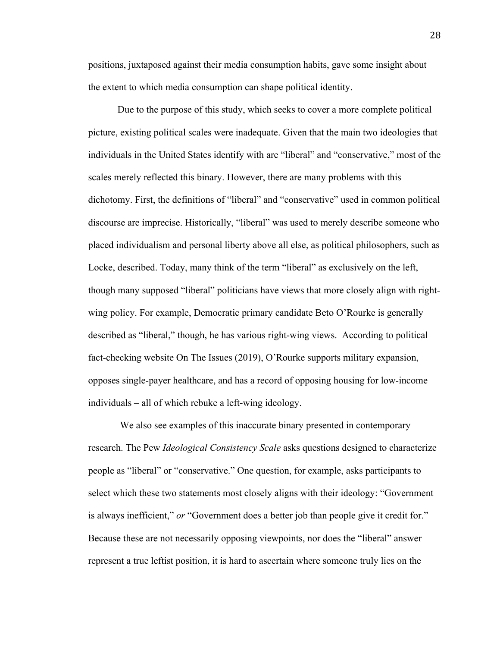positions, juxtaposed against their media consumption habits, gave some insight about the extent to which media consumption can shape political identity.

Due to the purpose of this study, which seeks to cover a more complete political picture, existing political scales were inadequate. Given that the main two ideologies that individuals in the United States identify with are "liberal" and "conservative," most of the scales merely reflected this binary. However, there are many problems with this dichotomy. First, the definitions of "liberal" and "conservative" used in common political discourse are imprecise. Historically, "liberal" was used to merely describe someone who placed individualism and personal liberty above all else, as political philosophers, such as Locke, described. Today, many think of the term "liberal" as exclusively on the left, though many supposed "liberal" politicians have views that more closely align with rightwing policy. For example, Democratic primary candidate Beto O'Rourke is generally described as "liberal," though, he has various right-wing views. According to political fact-checking website On The Issues (2019), O'Rourke supports military expansion, opposes single-payer healthcare, and has a record of opposing housing for low-income individuals – all of which rebuke a left-wing ideology.

We also see examples of this inaccurate binary presented in contemporary research. The Pew *Ideological Consistency Scale* asks questions designed to characterize people as "liberal" or "conservative." One question, for example, asks participants to select which these two statements most closely aligns with their ideology: "Government is always inefficient," *or* "Government does a better job than people give it credit for." Because these are not necessarily opposing viewpoints, nor does the "liberal" answer represent a true leftist position, it is hard to ascertain where someone truly lies on the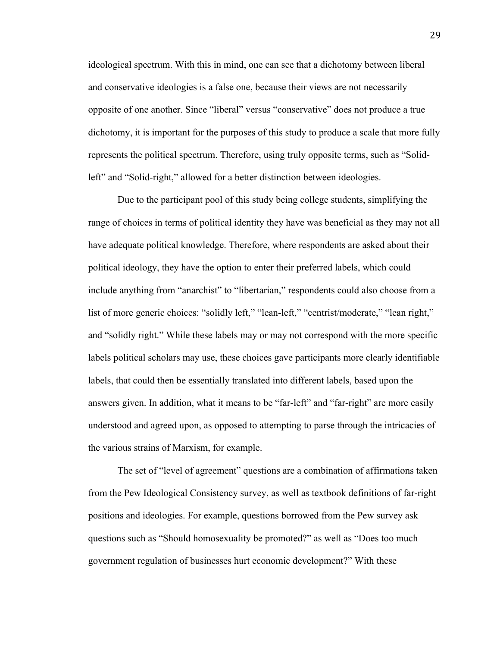ideological spectrum. With this in mind, one can see that a dichotomy between liberal and conservative ideologies is a false one, because their views are not necessarily opposite of one another. Since "liberal" versus "conservative" does not produce a true dichotomy, it is important for the purposes of this study to produce a scale that more fully represents the political spectrum. Therefore, using truly opposite terms, such as "Solidleft" and "Solid-right," allowed for a better distinction between ideologies.

Due to the participant pool of this study being college students, simplifying the range of choices in terms of political identity they have was beneficial as they may not all have adequate political knowledge. Therefore, where respondents are asked about their political ideology, they have the option to enter their preferred labels, which could include anything from "anarchist" to "libertarian," respondents could also choose from a list of more generic choices: "solidly left," "lean-left," "centrist/moderate," "lean right," and "solidly right." While these labels may or may not correspond with the more specific labels political scholars may use, these choices gave participants more clearly identifiable labels, that could then be essentially translated into different labels, based upon the answers given. In addition, what it means to be "far-left" and "far-right" are more easily understood and agreed upon, as opposed to attempting to parse through the intricacies of the various strains of Marxism, for example.

The set of "level of agreement" questions are a combination of affirmations taken from the Pew Ideological Consistency survey, as well as textbook definitions of far-right positions and ideologies. For example, questions borrowed from the Pew survey ask questions such as "Should homosexuality be promoted?" as well as "Does too much government regulation of businesses hurt economic development?" With these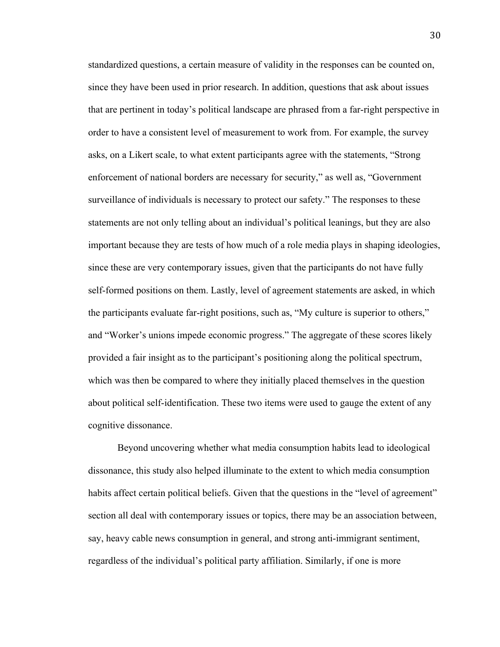standardized questions, a certain measure of validity in the responses can be counted on, since they have been used in prior research. In addition, questions that ask about issues that are pertinent in today's political landscape are phrased from a far-right perspective in order to have a consistent level of measurement to work from. For example, the survey asks, on a Likert scale, to what extent participants agree with the statements, "Strong enforcement of national borders are necessary for security," as well as, "Government surveillance of individuals is necessary to protect our safety." The responses to these statements are not only telling about an individual's political leanings, but they are also important because they are tests of how much of a role media plays in shaping ideologies, since these are very contemporary issues, given that the participants do not have fully self-formed positions on them. Lastly, level of agreement statements are asked, in which the participants evaluate far-right positions, such as, "My culture is superior to others," and "Worker's unions impede economic progress." The aggregate of these scores likely provided a fair insight as to the participant's positioning along the political spectrum, which was then be compared to where they initially placed themselves in the question about political self-identification. These two items were used to gauge the extent of any cognitive dissonance.

Beyond uncovering whether what media consumption habits lead to ideological dissonance, this study also helped illuminate to the extent to which media consumption habits affect certain political beliefs. Given that the questions in the "level of agreement" section all deal with contemporary issues or topics, there may be an association between, say, heavy cable news consumption in general, and strong anti-immigrant sentiment, regardless of the individual's political party affiliation. Similarly, if one is more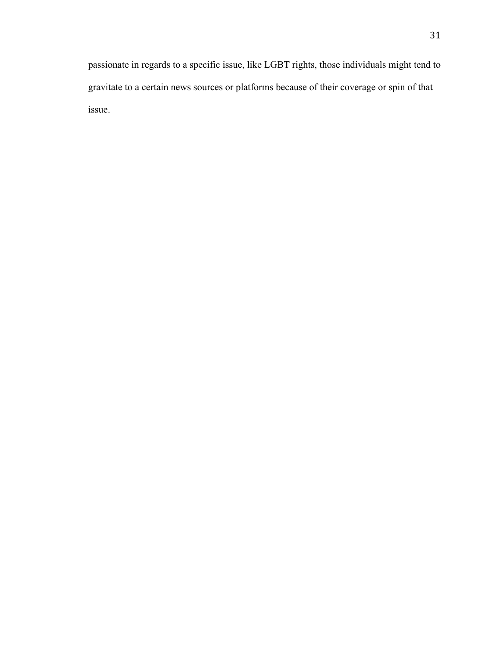passionate in regards to a specific issue, like LGBT rights, those individuals might tend to gravitate to a certain news sources or platforms because of their coverage or spin of that issue.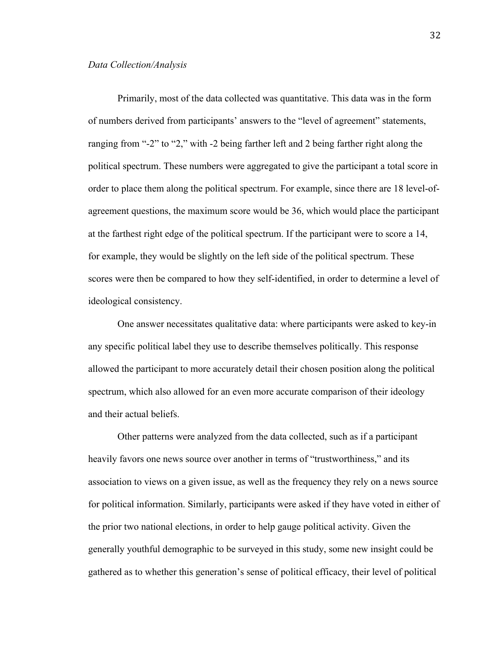Primarily, most of the data collected was quantitative. This data was in the form of numbers derived from participants' answers to the "level of agreement" statements, ranging from "-2" to "2," with -2 being farther left and 2 being farther right along the political spectrum. These numbers were aggregated to give the participant a total score in order to place them along the political spectrum. For example, since there are 18 level-ofagreement questions, the maximum score would be 36, which would place the participant at the farthest right edge of the political spectrum. If the participant were to score a 14, for example, they would be slightly on the left side of the political spectrum. These scores were then be compared to how they self-identified, in order to determine a level of ideological consistency.

One answer necessitates qualitative data: where participants were asked to key-in any specific political label they use to describe themselves politically. This response allowed the participant to more accurately detail their chosen position along the political spectrum, which also allowed for an even more accurate comparison of their ideology and their actual beliefs.

Other patterns were analyzed from the data collected, such as if a participant heavily favors one news source over another in terms of "trustworthiness," and its association to views on a given issue, as well as the frequency they rely on a news source for political information. Similarly, participants were asked if they have voted in either of the prior two national elections, in order to help gauge political activity. Given the generally youthful demographic to be surveyed in this study, some new insight could be gathered as to whether this generation's sense of political efficacy, their level of political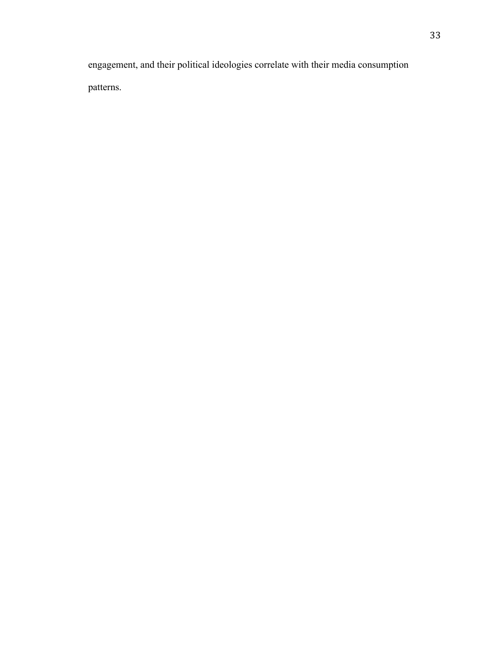engagement, and their political ideologies correlate with their media consumption patterns.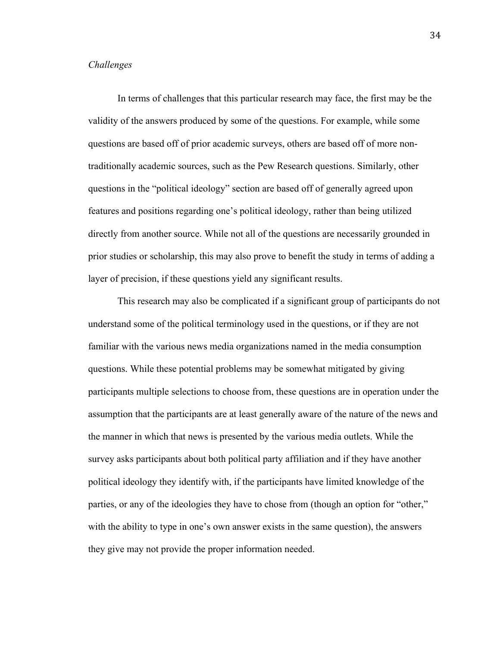# *Challenges*

In terms of challenges that this particular research may face, the first may be the validity of the answers produced by some of the questions. For example, while some questions are based off of prior academic surveys, others are based off of more nontraditionally academic sources, such as the Pew Research questions. Similarly, other questions in the "political ideology" section are based off of generally agreed upon features and positions regarding one's political ideology, rather than being utilized directly from another source. While not all of the questions are necessarily grounded in prior studies or scholarship, this may also prove to benefit the study in terms of adding a layer of precision, if these questions yield any significant results.

This research may also be complicated if a significant group of participants do not understand some of the political terminology used in the questions, or if they are not familiar with the various news media organizations named in the media consumption questions. While these potential problems may be somewhat mitigated by giving participants multiple selections to choose from, these questions are in operation under the assumption that the participants are at least generally aware of the nature of the news and the manner in which that news is presented by the various media outlets. While the survey asks participants about both political party affiliation and if they have another political ideology they identify with, if the participants have limited knowledge of the parties, or any of the ideologies they have to chose from (though an option for "other," with the ability to type in one's own answer exists in the same question), the answers they give may not provide the proper information needed.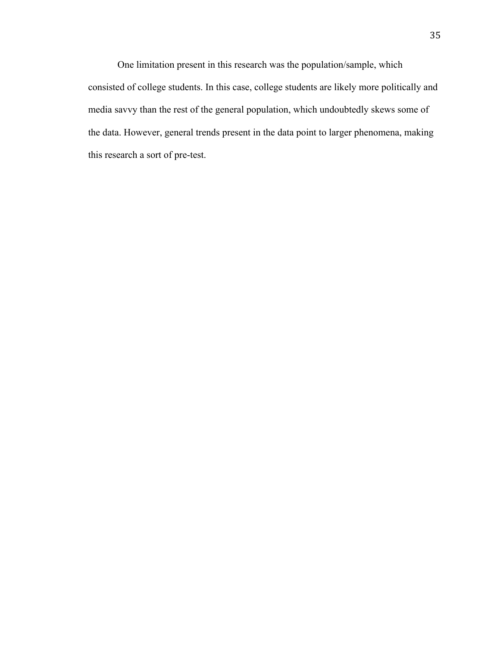One limitation present in this research was the population/sample, which consisted of college students. In this case, college students are likely more politically and media savvy than the rest of the general population, which undoubtedly skews some of the data. However, general trends present in the data point to larger phenomena, making this research a sort of pre-test.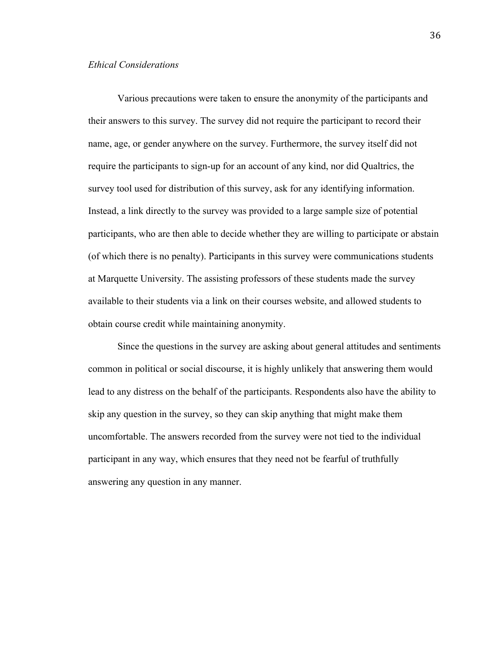# *Ethical Considerations*

Various precautions were taken to ensure the anonymity of the participants and their answers to this survey. The survey did not require the participant to record their name, age, or gender anywhere on the survey. Furthermore, the survey itself did not require the participants to sign-up for an account of any kind, nor did Qualtrics, the survey tool used for distribution of this survey, ask for any identifying information. Instead, a link directly to the survey was provided to a large sample size of potential participants, who are then able to decide whether they are willing to participate or abstain (of which there is no penalty). Participants in this survey were communications students at Marquette University. The assisting professors of these students made the survey available to their students via a link on their courses website, and allowed students to obtain course credit while maintaining anonymity.

Since the questions in the survey are asking about general attitudes and sentiments common in political or social discourse, it is highly unlikely that answering them would lead to any distress on the behalf of the participants. Respondents also have the ability to skip any question in the survey, so they can skip anything that might make them uncomfortable. The answers recorded from the survey were not tied to the individual participant in any way, which ensures that they need not be fearful of truthfully answering any question in any manner.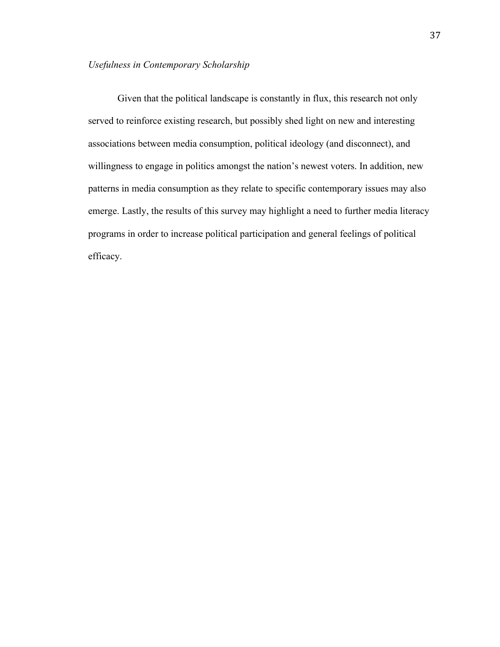Given that the political landscape is constantly in flux, this research not only served to reinforce existing research, but possibly shed light on new and interesting associations between media consumption, political ideology (and disconnect), and willingness to engage in politics amongst the nation's newest voters. In addition, new patterns in media consumption as they relate to specific contemporary issues may also emerge. Lastly, the results of this survey may highlight a need to further media literacy programs in order to increase political participation and general feelings of political efficacy.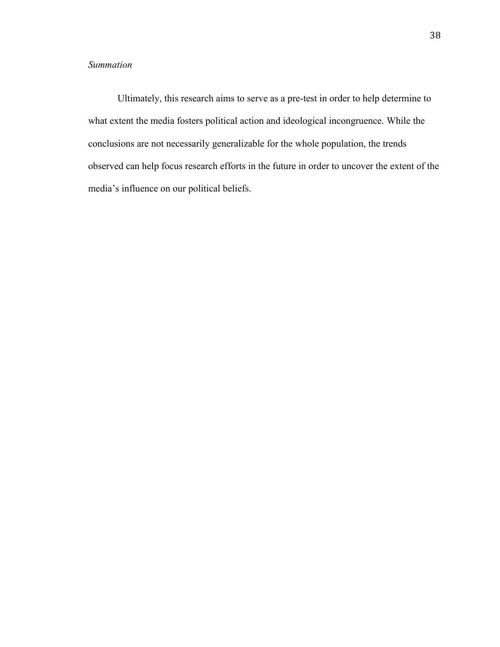# *Summation*

Ultimately, this research aims to serve as a pre-test in order to help determine to what extent the media fosters political action and ideological incongruence. While the conclusions are not necessarily generalizable for the whole population, the trends observed can help focus research efforts in the future in order to uncover the extent of the media's influence on our political beliefs.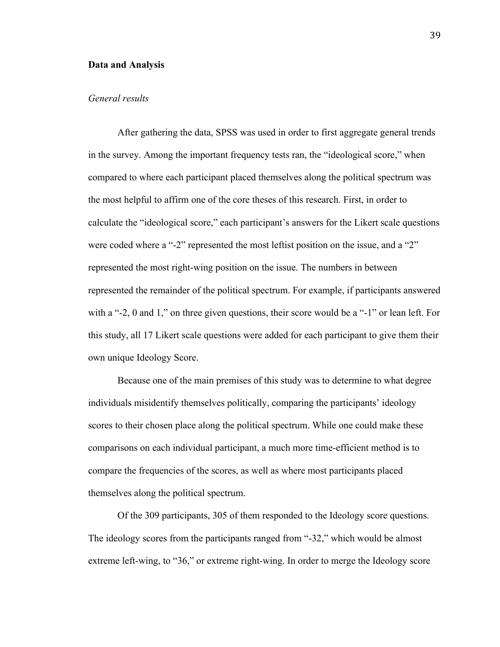#### **Data and Analysis**

# *General results*

After gathering the data, SPSS was used in order to first aggregate general trends in the survey. Among the important frequency tests ran, the "ideological score," when compared to where each participant placed themselves along the political spectrum was the most helpful to affirm one of the core theses of this research. First, in order to calculate the "ideological score," each participant's answers for the Likert scale questions were coded where a "-2" represented the most leftist position on the issue, and a "2" represented the most right-wing position on the issue. The numbers in between represented the remainder of the political spectrum. For example, if participants answered with a "-2, 0 and 1," on three given questions, their score would be a "-1" or lean left. For this study, all 17 Likert scale questions were added for each participant to give them their own unique Ideology Score.

Because one of the main premises of this study was to determine to what degree individuals misidentify themselves politically, comparing the participants' ideology scores to their chosen place along the political spectrum. While one could make these comparisons on each individual participant, a much more time-efficient method is to compare the frequencies of the scores, as well as where most participants placed themselves along the political spectrum.

Of the 309 participants, 305 of them responded to the Ideology score questions. The ideology scores from the participants ranged from "-32," which would be almost extreme left-wing, to "36," or extreme right-wing. In order to merge the Ideology score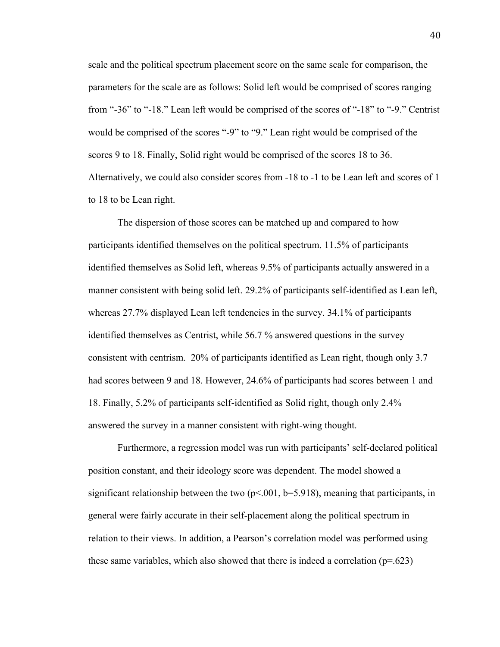scale and the political spectrum placement score on the same scale for comparison, the parameters for the scale are as follows: Solid left would be comprised of scores ranging from "-36" to "-18." Lean left would be comprised of the scores of "-18" to "-9." Centrist would be comprised of the scores "-9" to "9." Lean right would be comprised of the scores 9 to 18. Finally, Solid right would be comprised of the scores 18 to 36. Alternatively, we could also consider scores from -18 to -1 to be Lean left and scores of 1 to 18 to be Lean right.

The dispersion of those scores can be matched up and compared to how participants identified themselves on the political spectrum. 11.5% of participants identified themselves as Solid left, whereas 9.5% of participants actually answered in a manner consistent with being solid left. 29.2% of participants self-identified as Lean left, whereas 27.7% displayed Lean left tendencies in the survey. 34.1% of participants identified themselves as Centrist, while 56.7 % answered questions in the survey consistent with centrism. 20% of participants identified as Lean right, though only 3.7 had scores between 9 and 18. However, 24.6% of participants had scores between 1 and 18. Finally, 5.2% of participants self-identified as Solid right, though only 2.4% answered the survey in a manner consistent with right-wing thought.

Furthermore, a regression model was run with participants' self-declared political position constant, and their ideology score was dependent. The model showed a significant relationship between the two  $(p< .001, b=5.918)$ , meaning that participants, in general were fairly accurate in their self-placement along the political spectrum in relation to their views. In addition, a Pearson's correlation model was performed using these same variables, which also showed that there is indeed a correlation  $(p=.623)$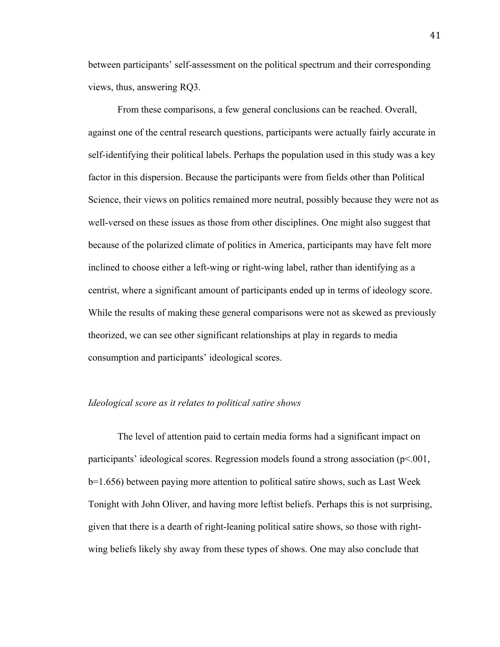between participants' self-assessment on the political spectrum and their corresponding views, thus, answering RQ3.

From these comparisons, a few general conclusions can be reached. Overall, against one of the central research questions, participants were actually fairly accurate in self-identifying their political labels. Perhaps the population used in this study was a key factor in this dispersion. Because the participants were from fields other than Political Science, their views on politics remained more neutral, possibly because they were not as well-versed on these issues as those from other disciplines. One might also suggest that because of the polarized climate of politics in America, participants may have felt more inclined to choose either a left-wing or right-wing label, rather than identifying as a centrist, where a significant amount of participants ended up in terms of ideology score. While the results of making these general comparisons were not as skewed as previously theorized, we can see other significant relationships at play in regards to media consumption and participants' ideological scores.

#### *Ideological score as it relates to political satire shows*

The level of attention paid to certain media forms had a significant impact on participants' ideological scores. Regression models found a strong association  $(p<.001,$ b=1.656) between paying more attention to political satire shows, such as Last Week Tonight with John Oliver, and having more leftist beliefs. Perhaps this is not surprising, given that there is a dearth of right-leaning political satire shows, so those with rightwing beliefs likely shy away from these types of shows. One may also conclude that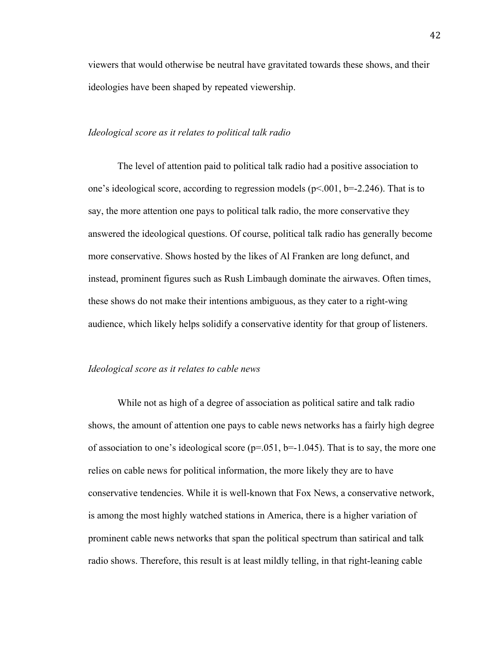viewers that would otherwise be neutral have gravitated towards these shows, and their ideologies have been shaped by repeated viewership.

# *Ideological score as it relates to political talk radio*

The level of attention paid to political talk radio had a positive association to one's ideological score, according to regression models  $(p<.001, b=-2.246)$ . That is to say, the more attention one pays to political talk radio, the more conservative they answered the ideological questions. Of course, political talk radio has generally become more conservative. Shows hosted by the likes of Al Franken are long defunct, and instead, prominent figures such as Rush Limbaugh dominate the airwaves. Often times, these shows do not make their intentions ambiguous, as they cater to a right-wing audience, which likely helps solidify a conservative identity for that group of listeners.

# *Ideological score as it relates to cable news*

While not as high of a degree of association as political satire and talk radio shows, the amount of attention one pays to cable news networks has a fairly high degree of association to one's ideological score ( $p=0.051$ ,  $b=-1.045$ ). That is to say, the more one relies on cable news for political information, the more likely they are to have conservative tendencies. While it is well-known that Fox News, a conservative network, is among the most highly watched stations in America, there is a higher variation of prominent cable news networks that span the political spectrum than satirical and talk radio shows. Therefore, this result is at least mildly telling, in that right-leaning cable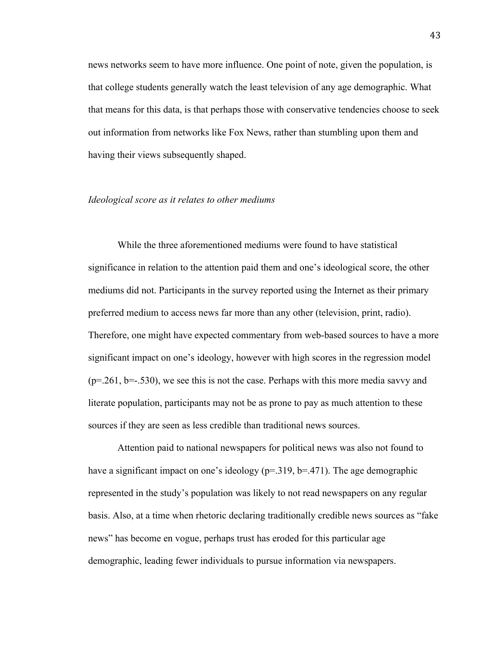news networks seem to have more influence. One point of note, given the population, is that college students generally watch the least television of any age demographic. What that means for this data, is that perhaps those with conservative tendencies choose to seek out information from networks like Fox News, rather than stumbling upon them and having their views subsequently shaped.

#### *Ideological score as it relates to other mediums*

While the three aforementioned mediums were found to have statistical significance in relation to the attention paid them and one's ideological score, the other mediums did not. Participants in the survey reported using the Internet as their primary preferred medium to access news far more than any other (television, print, radio). Therefore, one might have expected commentary from web-based sources to have a more significant impact on one's ideology, however with high scores in the regression model  $(p=.261, b=.530)$ , we see this is not the case. Perhaps with this more media savvy and literate population, participants may not be as prone to pay as much attention to these sources if they are seen as less credible than traditional news sources.

Attention paid to national newspapers for political news was also not found to have a significant impact on one's ideology (p=.319, b=.471). The age demographic represented in the study's population was likely to not read newspapers on any regular basis. Also, at a time when rhetoric declaring traditionally credible news sources as "fake news" has become en vogue, perhaps trust has eroded for this particular age demographic, leading fewer individuals to pursue information via newspapers.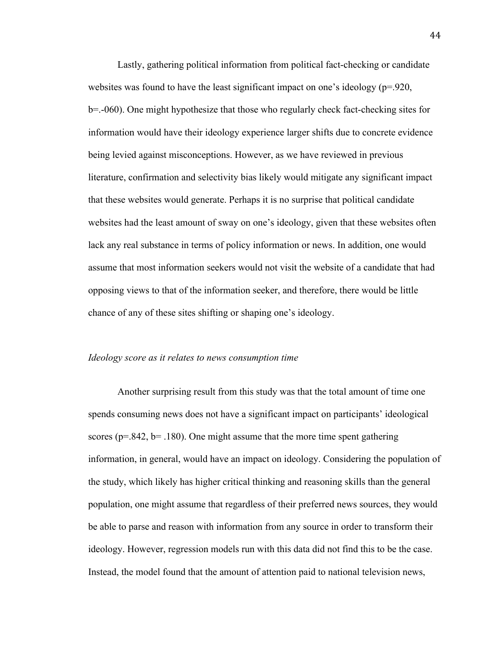Lastly, gathering political information from political fact-checking or candidate websites was found to have the least significant impact on one's ideology ( $p=920$ , b=.-060). One might hypothesize that those who regularly check fact-checking sites for information would have their ideology experience larger shifts due to concrete evidence being levied against misconceptions. However, as we have reviewed in previous literature, confirmation and selectivity bias likely would mitigate any significant impact that these websites would generate. Perhaps it is no surprise that political candidate websites had the least amount of sway on one's ideology, given that these websites often lack any real substance in terms of policy information or news. In addition, one would assume that most information seekers would not visit the website of a candidate that had opposing views to that of the information seeker, and therefore, there would be little chance of any of these sites shifting or shaping one's ideology.

#### *Ideology score as it relates to news consumption time*

Another surprising result from this study was that the total amount of time one spends consuming news does not have a significant impact on participants' ideological scores ( $p=.842$ ,  $b=.180$ ). One might assume that the more time spent gathering information, in general, would have an impact on ideology. Considering the population of the study, which likely has higher critical thinking and reasoning skills than the general population, one might assume that regardless of their preferred news sources, they would be able to parse and reason with information from any source in order to transform their ideology. However, regression models run with this data did not find this to be the case. Instead, the model found that the amount of attention paid to national television news,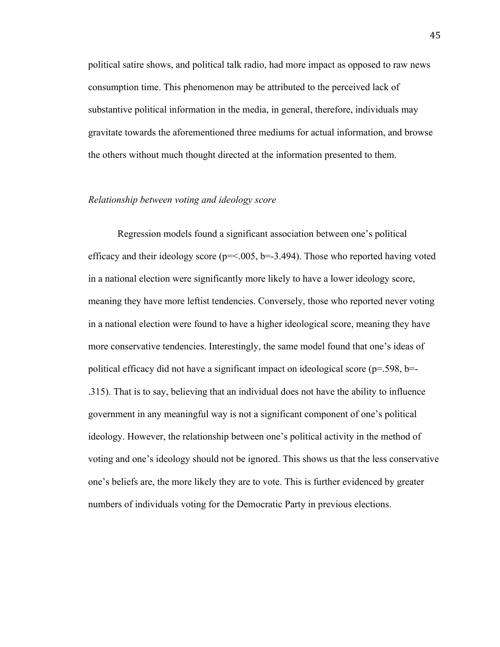political satire shows, and political talk radio, had more impact as opposed to raw news consumption time. This phenomenon may be attributed to the perceived lack of substantive political information in the media, in general, therefore, individuals may gravitate towards the aforementioned three mediums for actual information, and browse the others without much thought directed at the information presented to them.

# *Relationship between voting and ideology score*

Regression models found a significant association between one's political efficacy and their ideology score ( $p = 0.005$ ,  $b = -3.494$ ). Those who reported having voted in a national election were significantly more likely to have a lower ideology score, meaning they have more leftist tendencies. Conversely, those who reported never voting in a national election were found to have a higher ideological score, meaning they have more conservative tendencies. Interestingly, the same model found that one's ideas of political efficacy did not have a significant impact on ideological score ( $p=0.598$ ,  $b=0$ .315). That is to say, believing that an individual does not have the ability to influence government in any meaningful way is not a significant component of one's political ideology. However, the relationship between one's political activity in the method of voting and one's ideology should not be ignored. This shows us that the less conservative one's beliefs are, the more likely they are to vote. This is further evidenced by greater numbers of individuals voting for the Democratic Party in previous elections.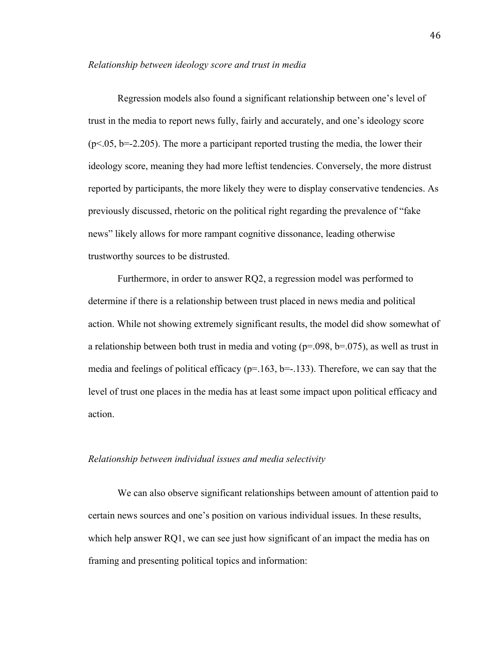Regression models also found a significant relationship between one's level of trust in the media to report news fully, fairly and accurately, and one's ideology score  $(p<.05, b=-2.205)$ . The more a participant reported trusting the media, the lower their ideology score, meaning they had more leftist tendencies. Conversely, the more distrust reported by participants, the more likely they were to display conservative tendencies. As previously discussed, rhetoric on the political right regarding the prevalence of "fake news" likely allows for more rampant cognitive dissonance, leading otherwise trustworthy sources to be distrusted.

Furthermore, in order to answer RQ2, a regression model was performed to determine if there is a relationship between trust placed in news media and political action. While not showing extremely significant results, the model did show somewhat of a relationship between both trust in media and voting ( $p=0.098$ ,  $b=0.075$ ), as well as trust in media and feelings of political efficacy ( $p=163$ ,  $b=-133$ ). Therefore, we can say that the level of trust one places in the media has at least some impact upon political efficacy and action.

# *Relationship between individual issues and media selectivity*

We can also observe significant relationships between amount of attention paid to certain news sources and one's position on various individual issues. In these results, which help answer RQ1, we can see just how significant of an impact the media has on framing and presenting political topics and information: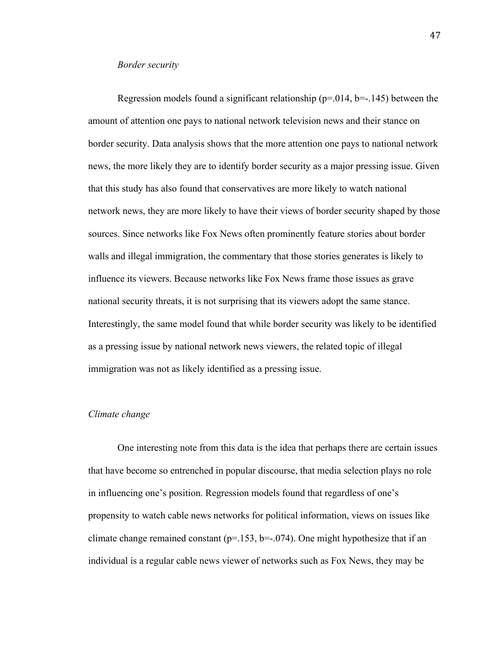#### *Border security*

Regression models found a significant relationship ( $p=0.014$ ,  $b=-1.145$ ) between the amount of attention one pays to national network television news and their stance on border security. Data analysis shows that the more attention one pays to national network news, the more likely they are to identify border security as a major pressing issue. Given that this study has also found that conservatives are more likely to watch national network news, they are more likely to have their views of border security shaped by those sources. Since networks like Fox News often prominently feature stories about border walls and illegal immigration, the commentary that those stories generates is likely to influence its viewers. Because networks like Fox News frame those issues as grave national security threats, it is not surprising that its viewers adopt the same stance. Interestingly, the same model found that while border security was likely to be identified as a pressing issue by national network news viewers, the related topic of illegal immigration was not as likely identified as a pressing issue.

# *Climate change*

One interesting note from this data is the idea that perhaps there are certain issues that have become so entrenched in popular discourse, that media selection plays no role in influencing one's position. Regression models found that regardless of one's propensity to watch cable news networks for political information, views on issues like climate change remained constant ( $p=153$ ,  $b=-074$ ). One might hypothesize that if an individual is a regular cable news viewer of networks such as Fox News, they may be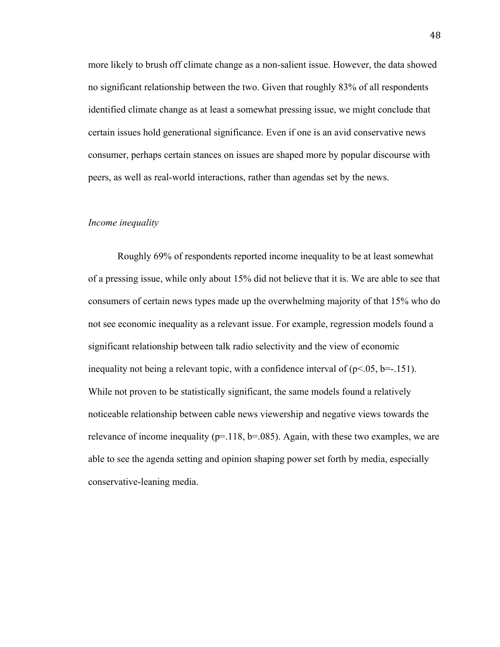more likely to brush off climate change as a non-salient issue. However, the data showed no significant relationship between the two. Given that roughly 83% of all respondents identified climate change as at least a somewhat pressing issue, we might conclude that certain issues hold generational significance. Even if one is an avid conservative news consumer, perhaps certain stances on issues are shaped more by popular discourse with peers, as well as real-world interactions, rather than agendas set by the news.

## *Income inequality*

Roughly 69% of respondents reported income inequality to be at least somewhat of a pressing issue, while only about 15% did not believe that it is. We are able to see that consumers of certain news types made up the overwhelming majority of that 15% who do not see economic inequality as a relevant issue. For example, regression models found a significant relationship between talk radio selectivity and the view of economic inequality not being a relevant topic, with a confidence interval of  $(p< 0.05, b=-151)$ . While not proven to be statistically significant, the same models found a relatively noticeable relationship between cable news viewership and negative views towards the relevance of income inequality ( $p=118$ ,  $b=.085$ ). Again, with these two examples, we are able to see the agenda setting and opinion shaping power set forth by media, especially conservative-leaning media.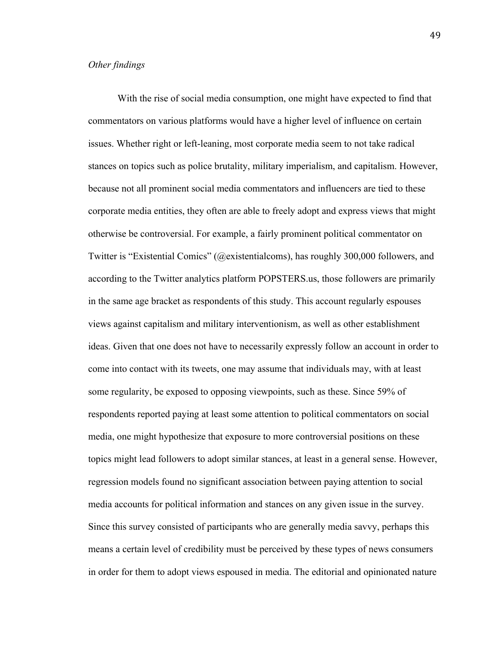# *Other findings*

With the rise of social media consumption, one might have expected to find that commentators on various platforms would have a higher level of influence on certain issues. Whether right or left-leaning, most corporate media seem to not take radical stances on topics such as police brutality, military imperialism, and capitalism. However, because not all prominent social media commentators and influencers are tied to these corporate media entities, they often are able to freely adopt and express views that might otherwise be controversial. For example, a fairly prominent political commentator on Twitter is "Existential Comics" (@existentialcoms), has roughly 300,000 followers, and according to the Twitter analytics platform POPSTERS.us, those followers are primarily in the same age bracket as respondents of this study. This account regularly espouses views against capitalism and military interventionism, as well as other establishment ideas. Given that one does not have to necessarily expressly follow an account in order to come into contact with its tweets, one may assume that individuals may, with at least some regularity, be exposed to opposing viewpoints, such as these. Since 59% of respondents reported paying at least some attention to political commentators on social media, one might hypothesize that exposure to more controversial positions on these topics might lead followers to adopt similar stances, at least in a general sense. However, regression models found no significant association between paying attention to social media accounts for political information and stances on any given issue in the survey. Since this survey consisted of participants who are generally media savvy, perhaps this means a certain level of credibility must be perceived by these types of news consumers in order for them to adopt views espoused in media. The editorial and opinionated nature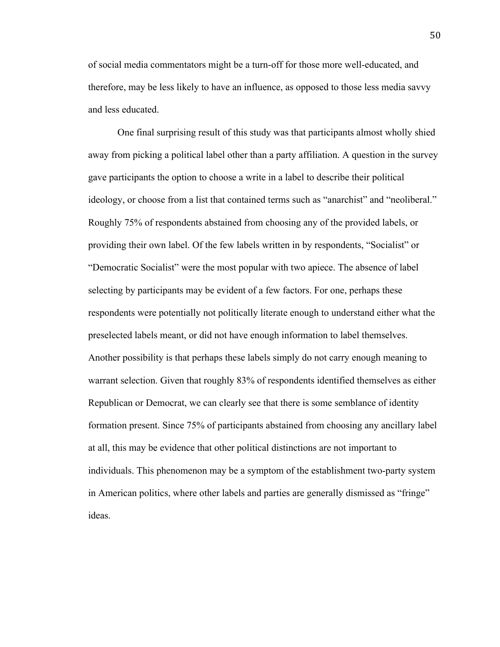of social media commentators might be a turn-off for those more well-educated, and therefore, may be less likely to have an influence, as opposed to those less media savvy and less educated.

One final surprising result of this study was that participants almost wholly shied away from picking a political label other than a party affiliation. A question in the survey gave participants the option to choose a write in a label to describe their political ideology, or choose from a list that contained terms such as "anarchist" and "neoliberal." Roughly 75% of respondents abstained from choosing any of the provided labels, or providing their own label. Of the few labels written in by respondents, "Socialist" or "Democratic Socialist" were the most popular with two apiece. The absence of label selecting by participants may be evident of a few factors. For one, perhaps these respondents were potentially not politically literate enough to understand either what the preselected labels meant, or did not have enough information to label themselves. Another possibility is that perhaps these labels simply do not carry enough meaning to warrant selection. Given that roughly 83% of respondents identified themselves as either Republican or Democrat, we can clearly see that there is some semblance of identity formation present. Since 75% of participants abstained from choosing any ancillary label at all, this may be evidence that other political distinctions are not important to individuals. This phenomenon may be a symptom of the establishment two-party system in American politics, where other labels and parties are generally dismissed as "fringe" ideas.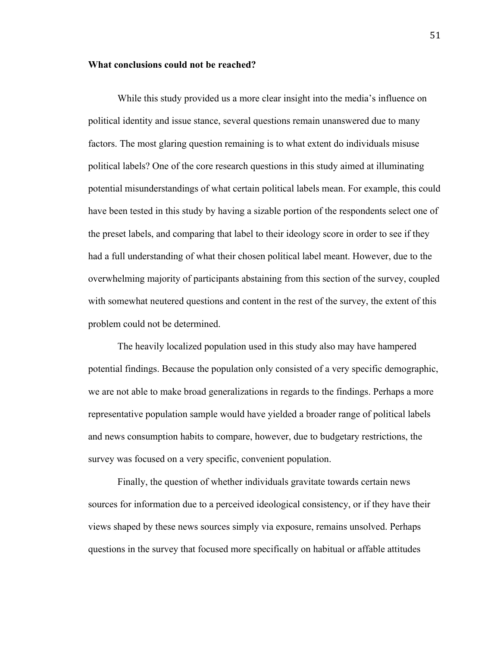## **What conclusions could not be reached?**

While this study provided us a more clear insight into the media's influence on political identity and issue stance, several questions remain unanswered due to many factors. The most glaring question remaining is to what extent do individuals misuse political labels? One of the core research questions in this study aimed at illuminating potential misunderstandings of what certain political labels mean. For example, this could have been tested in this study by having a sizable portion of the respondents select one of the preset labels, and comparing that label to their ideology score in order to see if they had a full understanding of what their chosen political label meant. However, due to the overwhelming majority of participants abstaining from this section of the survey, coupled with somewhat neutered questions and content in the rest of the survey, the extent of this problem could not be determined.

The heavily localized population used in this study also may have hampered potential findings. Because the population only consisted of a very specific demographic, we are not able to make broad generalizations in regards to the findings. Perhaps a more representative population sample would have yielded a broader range of political labels and news consumption habits to compare, however, due to budgetary restrictions, the survey was focused on a very specific, convenient population.

Finally, the question of whether individuals gravitate towards certain news sources for information due to a perceived ideological consistency, or if they have their views shaped by these news sources simply via exposure, remains unsolved. Perhaps questions in the survey that focused more specifically on habitual or affable attitudes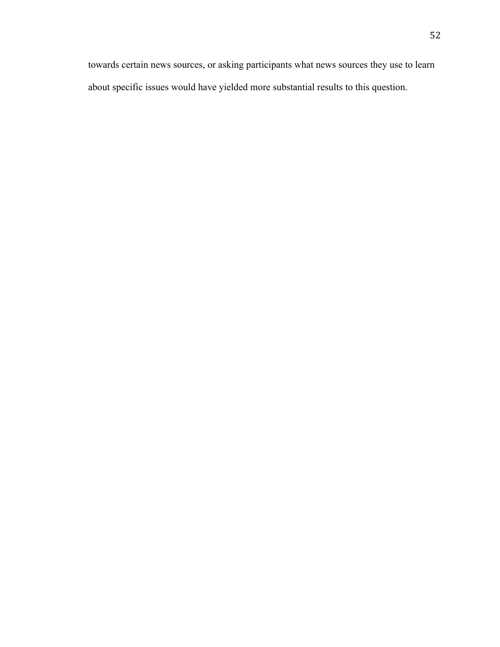towards certain news sources, or asking participants what news sources they use to learn about specific issues would have yielded more substantial results to this question.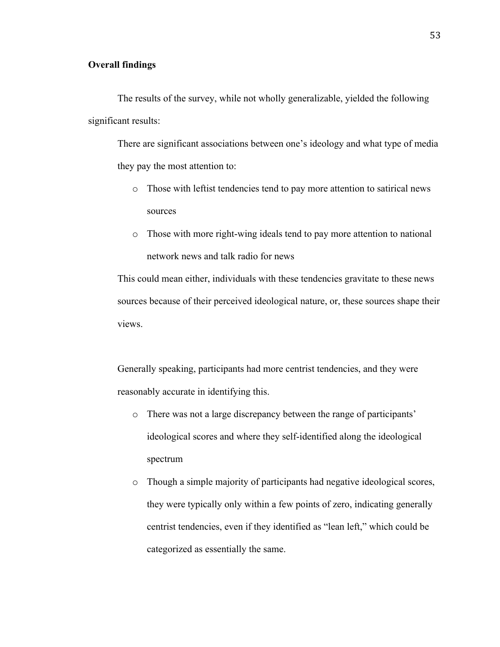# **Overall findings**

The results of the survey, while not wholly generalizable, yielded the following significant results:

There are significant associations between one's ideology and what type of media they pay the most attention to:

- o Those with leftist tendencies tend to pay more attention to satirical news sources
- o Those with more right-wing ideals tend to pay more attention to national network news and talk radio for news

This could mean either, individuals with these tendencies gravitate to these news sources because of their perceived ideological nature, or, these sources shape their views.

Generally speaking, participants had more centrist tendencies, and they were reasonably accurate in identifying this.

- o There was not a large discrepancy between the range of participants' ideological scores and where they self-identified along the ideological spectrum
- o Though a simple majority of participants had negative ideological scores, they were typically only within a few points of zero, indicating generally centrist tendencies, even if they identified as "lean left," which could be categorized as essentially the same.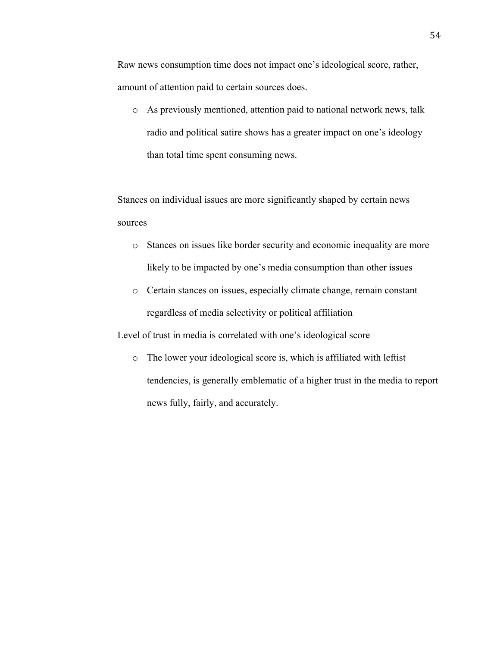Raw news consumption time does not impact one's ideological score, rather, amount of attention paid to certain sources does.

o As previously mentioned, attention paid to national network news, talk radio and political satire shows has a greater impact on one's ideology than total time spent consuming news.

Stances on individual issues are more significantly shaped by certain news sources

- o Stances on issues like border security and economic inequality are more likely to be impacted by one's media consumption than other issues
- o Certain stances on issues, especially climate change, remain constant regardless of media selectivity or political affiliation

Level of trust in media is correlated with one's ideological score

o The lower your ideological score is, which is affiliated with leftist tendencies, is generally emblematic of a higher trust in the media to report news fully, fairly, and accurately.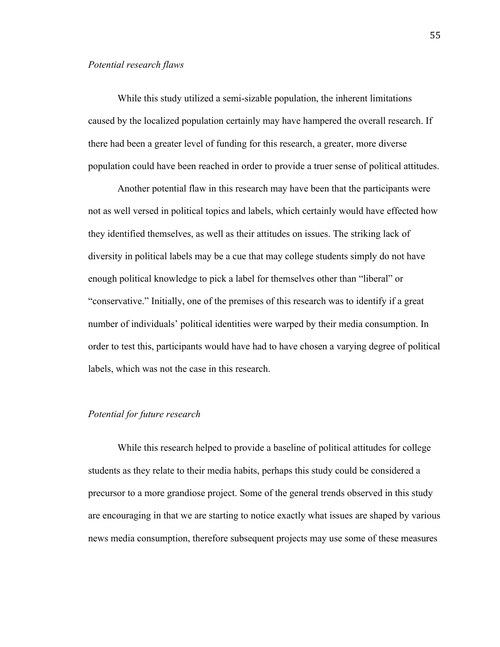# *Potential research flaws*

While this study utilized a semi-sizable population, the inherent limitations caused by the localized population certainly may have hampered the overall research. If there had been a greater level of funding for this research, a greater, more diverse population could have been reached in order to provide a truer sense of political attitudes.

Another potential flaw in this research may have been that the participants were not as well versed in political topics and labels, which certainly would have effected how they identified themselves, as well as their attitudes on issues. The striking lack of diversity in political labels may be a cue that may college students simply do not have enough political knowledge to pick a label for themselves other than "liberal" or "conservative." Initially, one of the premises of this research was to identify if a great number of individuals' political identities were warped by their media consumption. In order to test this, participants would have had to have chosen a varying degree of political labels, which was not the case in this research.

# *Potential for future research*

While this research helped to provide a baseline of political attitudes for college students as they relate to their media habits, perhaps this study could be considered a precursor to a more grandiose project. Some of the general trends observed in this study are encouraging in that we are starting to notice exactly what issues are shaped by various news media consumption, therefore subsequent projects may use some of these measures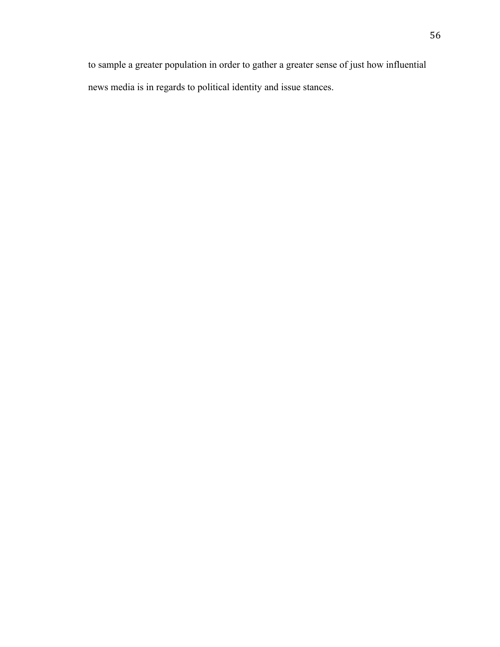to sample a greater population in order to gather a greater sense of just how influential news media is in regards to political identity and issue stances.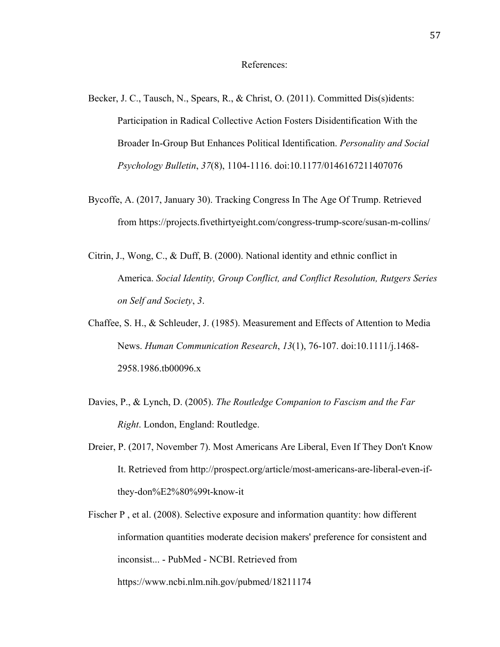- Becker, J. C., Tausch, N., Spears, R., & Christ, O. (2011). Committed Dis(s)idents: Participation in Radical Collective Action Fosters Disidentification With the Broader In-Group But Enhances Political Identification. *Personality and Social Psychology Bulletin*, *37*(8), 1104-1116. doi:10.1177/0146167211407076
- Bycoffe, A. (2017, January 30). Tracking Congress In The Age Of Trump. Retrieved from https://projects.fivethirtyeight.com/congress-trump-score/susan-m-collins/
- Citrin, J., Wong, C., & Duff, B. (2000). National identity and ethnic conflict in America. *Social Identity, Group Conflict, and Conflict Resolution, Rutgers Series on Self and Society*, *3*.
- Chaffee, S. H., & Schleuder, J. (1985). Measurement and Effects of Attention to Media News. *Human Communication Research*, *13*(1), 76-107. doi:10.1111/j.1468- 2958.1986.tb00096.x
- Davies, P., & Lynch, D. (2005). *The Routledge Companion to Fascism and the Far Right*. London, England: Routledge.
- Dreier, P. (2017, November 7). Most Americans Are Liberal, Even If They Don't Know It. Retrieved from http://prospect.org/article/most-americans-are-liberal-even-ifthey-don%E2%80%99t-know-it
- Fischer P , et al. (2008). Selective exposure and information quantity: how different information quantities moderate decision makers' preference for consistent and inconsist... - PubMed - NCBI. Retrieved from https://www.ncbi.nlm.nih.gov/pubmed/18211174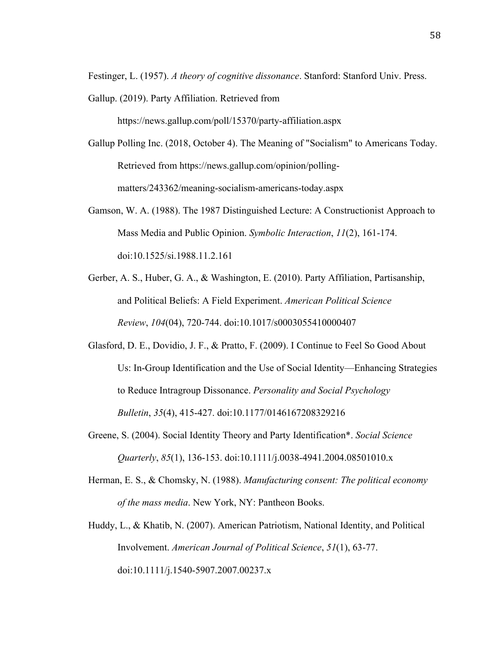Festinger, L. (1957). *A theory of cognitive dissonance*. Stanford: Stanford Univ. Press.

Gallup. (2019). Party Affiliation. Retrieved from

https://news.gallup.com/poll/15370/party-affiliation.aspx

- Gallup Polling Inc. (2018, October 4). The Meaning of "Socialism" to Americans Today. Retrieved from https://news.gallup.com/opinion/pollingmatters/243362/meaning-socialism-americans-today.aspx
- Gamson, W. A. (1988). The 1987 Distinguished Lecture: A Constructionist Approach to Mass Media and Public Opinion. *Symbolic Interaction*, *11*(2), 161-174. doi:10.1525/si.1988.11.2.161
- Gerber, A. S., Huber, G. A., & Washington, E. (2010). Party Affiliation, Partisanship, and Political Beliefs: A Field Experiment. *American Political Science Review*, *104*(04), 720-744. doi:10.1017/s0003055410000407
- Glasford, D. E., Dovidio, J. F., & Pratto, F. (2009). I Continue to Feel So Good About Us: In-Group Identification and the Use of Social Identity—Enhancing Strategies to Reduce Intragroup Dissonance. *Personality and Social Psychology Bulletin*, *35*(4), 415-427. doi:10.1177/0146167208329216
- Greene, S. (2004). Social Identity Theory and Party Identification\*. *Social Science Quarterly*, *85*(1), 136-153. doi:10.1111/j.0038-4941.2004.08501010.x
- Herman, E. S., & Chomsky, N. (1988). *Manufacturing consent: The political economy of the mass media*. New York, NY: Pantheon Books.
- Huddy, L., & Khatib, N. (2007). American Patriotism, National Identity, and Political Involvement. *American Journal of Political Science*, *51*(1), 63-77. doi:10.1111/j.1540-5907.2007.00237.x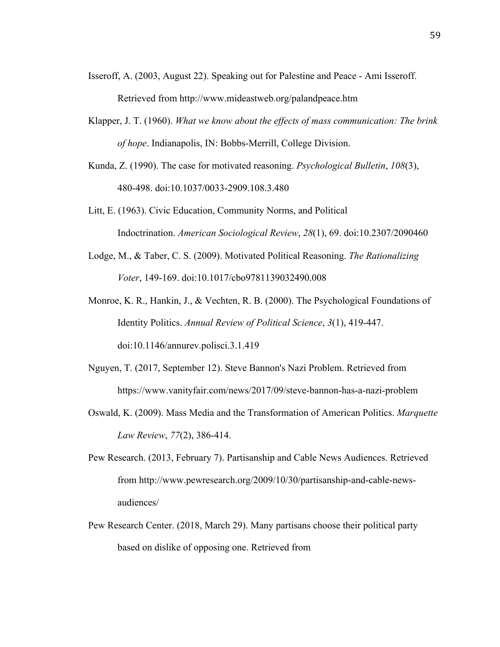- Isseroff, A. (2003, August 22). Speaking out for Palestine and Peace Ami Isseroff. Retrieved from http://www.mideastweb.org/palandpeace.htm
- Klapper, J. T. (1960). *What we know about the effects of mass communication: The brink of hope*. Indianapolis, IN: Bobbs-Merrill, College Division.
- Kunda, Z. (1990). The case for motivated reasoning. *Psychological Bulletin*, *108*(3), 480-498. doi:10.1037/0033-2909.108.3.480
- Litt, E. (1963). Civic Education, Community Norms, and Political Indoctrination. *American Sociological Review*, *28*(1), 69. doi:10.2307/2090460
- Lodge, M., & Taber, C. S. (2009). Motivated Political Reasoning. *The Rationalizing Voter*, 149-169. doi:10.1017/cbo9781139032490.008
- Monroe, K. R., Hankin, J., & Vechten, R. B. (2000). The Psychological Foundations of Identity Politics. *Annual Review of Political Science*, *3*(1), 419-447. doi:10.1146/annurev.polisci.3.1.419
- Nguyen, T. (2017, September 12). Steve Bannon's Nazi Problem. Retrieved from https://www.vanityfair.com/news/2017/09/steve-bannon-has-a-nazi-problem
- Oswald, K. (2009). Mass Media and the Transformation of American Politics. *Marquette Law Review*, *77*(2), 386-414.
- Pew Research. (2013, February 7). Partisanship and Cable News Audiences. Retrieved from http://www.pewresearch.org/2009/10/30/partisanship-and-cable-newsaudiences/
- Pew Research Center. (2018, March 29). Many partisans choose their political party based on dislike of opposing one. Retrieved from